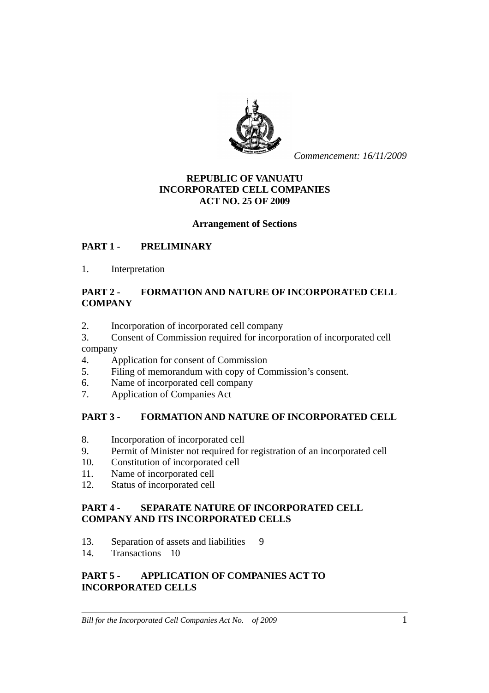

*Commencement: 16/11/2009*

## **REPUBLIC OF VANUATU INCORPORATED CELL COMPANIES ACT NO. 25 OF 2009**

### **Arrangement of Sections**

### **PART 1 - PRELIMINARY**

1. Interpretation

### **PART 2 - FORMATION AND NATURE OF INCORPORATED CELL COMPANY**

- 2. Incorporation of incorporated cell company
- 3. Consent of Commission required for incorporation of incorporated cell company
- 4. Application for consent of Commission
- 5. Filing of memorandum with copy of Commission's consent.
- 6. Name of incorporated cell company
- 7. Application of Companies Act

### **PART 3 - FORMATION AND NATURE OF INCORPORATED CELL**

- 8. Incorporation of incorporated cell
- 9. Permit of Minister not required for registration of an incorporated cell
- 10. Constitution of incorporated cell
- 11. Name of incorporated cell
- 12. Status of incorporated cell

#### **PART 4 - SEPARATE NATURE OF INCORPORATED CELL COMPANY AND ITS INCORPORATED CELLS**

- 13. Separation of assets and liabilities 9
- 14. Transactions 10

### **PART 5 - APPLICATION OF COMPANIES ACT TO INCORPORATED CELLS**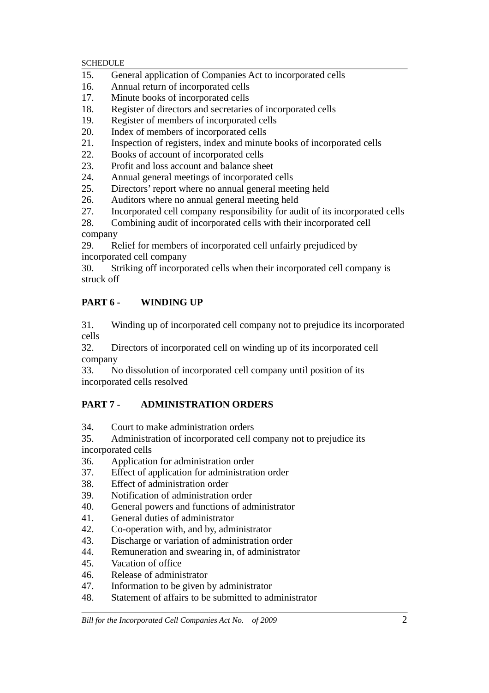- 15. General application of Companies Act to incorporated cells
- 16. Annual return of incorporated cells
- 17. Minute books of incorporated cells
- 18. Register of directors and secretaries of incorporated cells
- 19. Register of members of incorporated cells
- 20. Index of members of incorporated cells
- 21. Inspection of registers, index and minute books of incorporated cells
- 22. Books of account of incorporated cells
- 23. Profit and loss account and balance sheet
- 24. Annual general meetings of incorporated cells
- 25. Directors' report where no annual general meeting held
- 26. Auditors where no annual general meeting held
- 27. Incorporated cell company responsibility for audit of its incorporated cells

28. Combining audit of incorporated cells with their incorporated cell company

29. Relief for members of incorporated cell unfairly prejudiced by incorporated cell company

30. Striking off incorporated cells when their incorporated cell company is struck off

# **PART 6 - WINDING UP**

31. Winding up of incorporated cell company not to prejudice its incorporated cells

32. Directors of incorporated cell on winding up of its incorporated cell company

33. No dissolution of incorporated cell company until position of its incorporated cells resolved

# **PART 7 - ADMINISTRATION ORDERS**

34. Court to make administration orders

35. Administration of incorporated cell company not to prejudice its incorporated cells

- 36. Application for administration order
- 37. Effect of application for administration order
- 38. Effect of administration order
- 39. Notification of administration order
- 40. General powers and functions of administrator
- 41. General duties of administrator
- 42. Co-operation with, and by, administrator
- 43. Discharge or variation of administration order
- 44. Remuneration and swearing in, of administrator
- 45. Vacation of office
- 46. Release of administrator
- 47. Information to be given by administrator
- 48. Statement of affairs to be submitted to administrator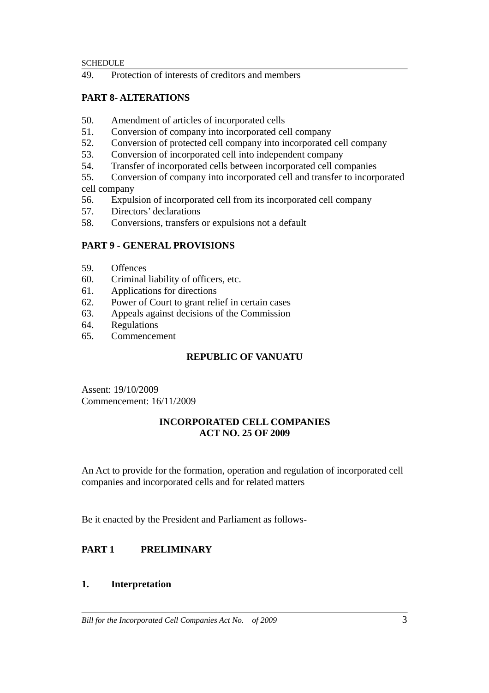49. Protection of interests of creditors and members

## **PART 8- ALTERATIONS**

- 50. Amendment of articles of incorporated cells
- 51. Conversion of company into incorporated cell company
- 52. Conversion of protected cell company into incorporated cell company
- 53. Conversion of incorporated cell into independent company
- 54. Transfer of incorporated cells between incorporated cell companies
- 55. Conversion of company into incorporated cell and transfer to incorporated cell company
- 56. Expulsion of incorporated cell from its incorporated cell company
- 57. Directors' declarations
- 58. Conversions, transfers or expulsions not a default

### **PART 9 - GENERAL PROVISIONS**

- 59. Offences
- 60. Criminal liability of officers, etc.
- 61. Applications for directions
- 62. Power of Court to grant relief in certain cases
- 63. Appeals against decisions of the Commission
- 64. Regulations
- 65. Commencement

### **REPUBLIC OF VANUATU**

Assent: 19/10/2009 Commencement: 16/11/2009

### **INCORPORATED CELL COMPANIES ACT NO. 25 OF 2009**

An Act to provide for the formation, operation and regulation of incorporated cell companies and incorporated cells and for related matters

Be it enacted by the President and Parliament as follows-

# **PART 1 PRELIMINARY**

### **1. Interpretation**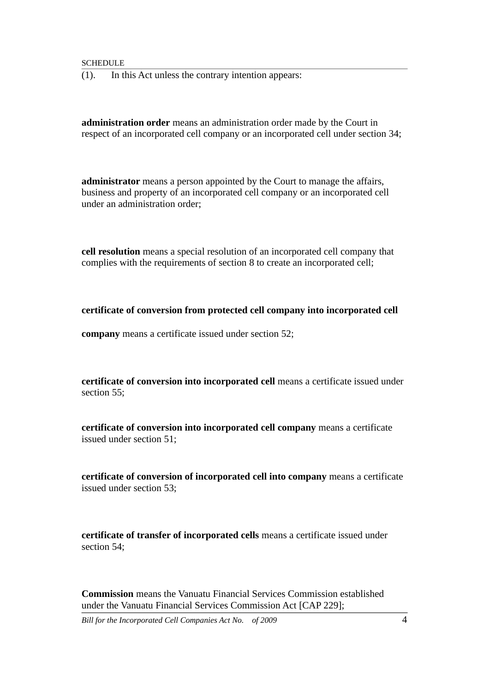(1). In this Act unless the contrary intention appears:

**administration order** means an administration order made by the Court in respect of an incorporated cell company or an incorporated cell under section 34;

**administrator** means a person appointed by the Court to manage the affairs, business and property of an incorporated cell company or an incorporated cell under an administration order;

**cell resolution** means a special resolution of an incorporated cell company that complies with the requirements of section 8 to create an incorporated cell;

**certificate of conversion from protected cell company into incorporated cell** 

**company** means a certificate issued under section 52;

**certificate of conversion into incorporated cell** means a certificate issued under section 55;

**certificate of conversion into incorporated cell company** means a certificate issued under section 51;

**certificate of conversion of incorporated cell into company** means a certificate issued under section 53;

**certificate of transfer of incorporated cells** means a certificate issued under section 54;

**Commission** means the Vanuatu Financial Services Commission established under the Vanuatu Financial Services Commission Act [CAP 229];

*Bill for the Incorporated Cell Companies Act No. of 2009* 4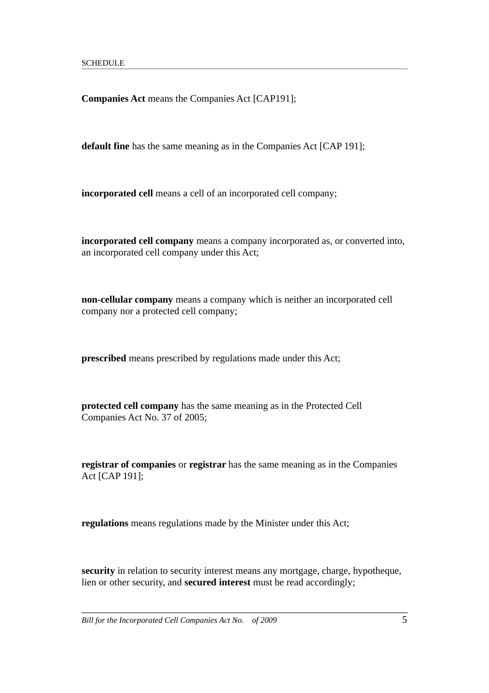**Companies Act** means the Companies Act [CAP191];

**default fine** has the same meaning as in the Companies Act [CAP 191];

**incorporated cell** means a cell of an incorporated cell company;

**incorporated cell company** means a company incorporated as, or converted into, an incorporated cell company under this Act;

**non-cellular company** means a company which is neither an incorporated cell company nor a protected cell company;

**prescribed** means prescribed by regulations made under this Act;

**protected cell company** has the same meaning as in the Protected Cell Companies Act No. 37 of 2005;

**registrar of companies** or **registrar** has the same meaning as in the Companies Act [CAP 191];

**regulations** means regulations made by the Minister under this Act;

**security** in relation to security interest means any mortgage, charge, hypotheque, lien or other security, and **secured interest** must be read accordingly;

*Bill for the Incorporated Cell Companies Act No. of 2009* 5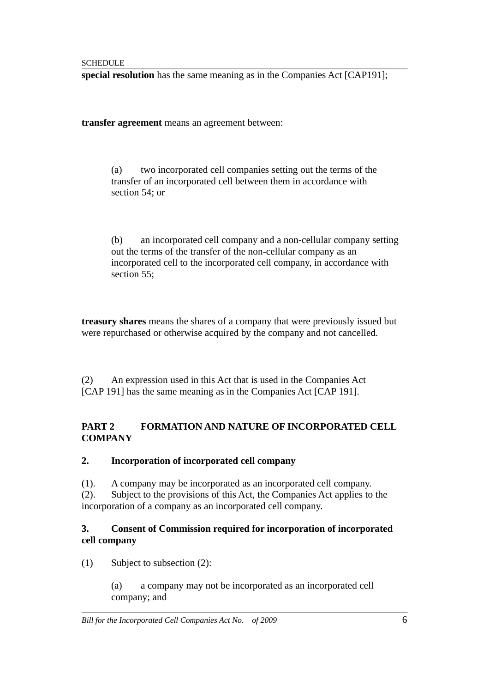**special resolution** has the same meaning as in the Companies Act [CAP191];

**transfer agreement** means an agreement between:

(a) two incorporated cell companies setting out the terms of the transfer of an incorporated cell between them in accordance with section 54; or

(b) an incorporated cell company and a non-cellular company setting out the terms of the transfer of the non-cellular company as an incorporated cell to the incorporated cell company, in accordance with section 55;

**treasury shares** means the shares of a company that were previously issued but were repurchased or otherwise acquired by the company and not cancelled.

(2) An expression used in this Act that is used in the Companies Act [CAP 191] has the same meaning as in the Companies Act [CAP 191].

# **PART 2 FORMATION AND NATURE OF INCORPORATED CELL COMPANY**

### **2. Incorporation of incorporated cell company**

(1). A company may be incorporated as an incorporated cell company.

(2). Subject to the provisions of this Act, the Companies Act applies to the incorporation of a company as an incorporated cell company.

## **3. Consent of Commission required for incorporation of incorporated cell company**

(1) Subject to subsection (2):

(a) a company may not be incorporated as an incorporated cell company; and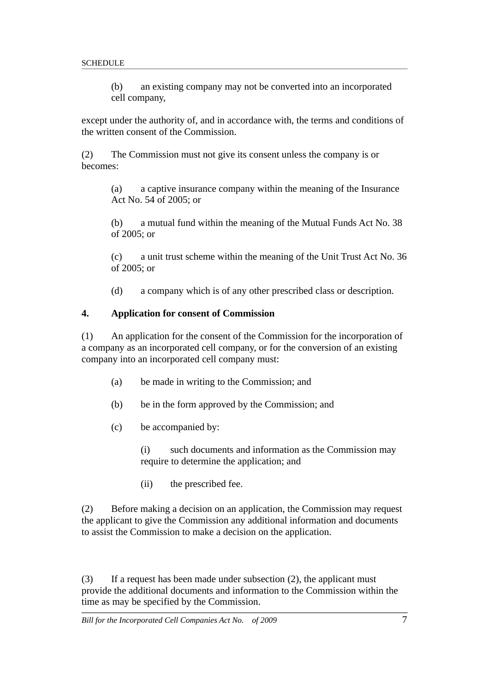(b) an existing company may not be converted into an incorporated cell company,

except under the authority of, and in accordance with, the terms and conditions of the written consent of the Commission.

(2) The Commission must not give its consent unless the company is or becomes:

(a) a captive insurance company within the meaning of the Insurance Act No. 54 of 2005; or

(b) a mutual fund within the meaning of the Mutual Funds Act No. 38 of 2005; or

(c) a unit trust scheme within the meaning of the Unit Trust Act No. 36 of 2005; or

(d) a company which is of any other prescribed class or description.

#### **4. Application for consent of Commission**

(1) An application for the consent of the Commission for the incorporation of a company as an incorporated cell company, or for the conversion of an existing company into an incorporated cell company must:

- (a) be made in writing to the Commission; and
- (b) be in the form approved by the Commission; and
- (c) be accompanied by:

(i) such documents and information as the Commission may require to determine the application; and

(ii) the prescribed fee.

(2) Before making a decision on an application, the Commission may request the applicant to give the Commission any additional information and documents to assist the Commission to make a decision on the application.

(3) If a request has been made under subsection (2), the applicant must provide the additional documents and information to the Commission within the time as may be specified by the Commission.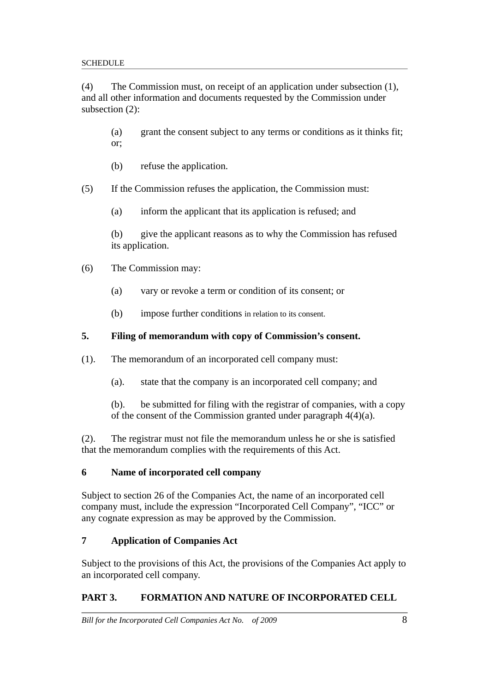(4) The Commission must, on receipt of an application under subsection (1), and all other information and documents requested by the Commission under subsection (2):

(a) grant the consent subject to any terms or conditions as it thinks fit; or;

- (b) refuse the application.
- (5) If the Commission refuses the application, the Commission must:
	- (a) inform the applicant that its application is refused; and

(b) give the applicant reasons as to why the Commission has refused its application.

- (6) The Commission may:
	- (a) vary or revoke a term or condition of its consent; or
	- (b) impose further conditions in relation to its consent.

## **5. Filing of memorandum with copy of Commission's consent.**

(1). The memorandum of an incorporated cell company must:

(a). state that the company is an incorporated cell company; and

(b). be submitted for filing with the registrar of companies, with a copy of the consent of the Commission granted under paragraph 4(4)(a).

(2). The registrar must not file the memorandum unless he or she is satisfied that the memorandum complies with the requirements of this Act.

### **6 Name of incorporated cell company**

Subject to section 26 of the Companies Act, the name of an incorporated cell company must, include the expression "Incorporated Cell Company", "ICC" or any cognate expression as may be approved by the Commission.

# **7 Application of Companies Act**

Subject to the provisions of this Act, the provisions of the Companies Act apply to an incorporated cell company.

# **PART 3. FORMATION AND NATURE OF INCORPORATED CELL**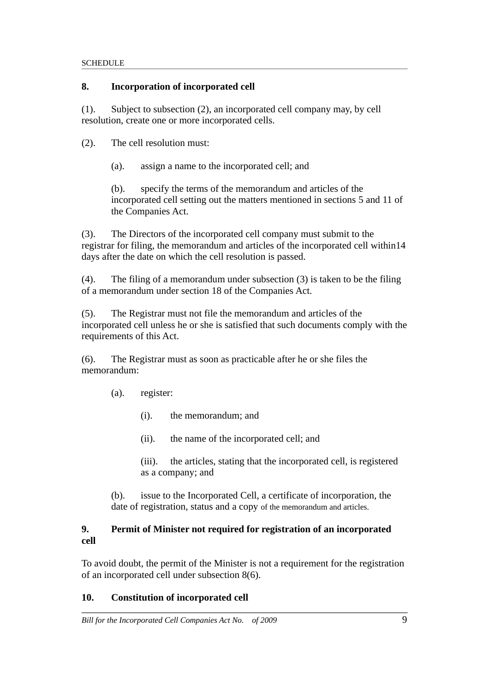## **8. Incorporation of incorporated cell**

(1). Subject to subsection (2), an incorporated cell company may, by cell resolution, create one or more incorporated cells.

- (2). The cell resolution must:
	- (a). assign a name to the incorporated cell; and

(b). specify the terms of the memorandum and articles of the incorporated cell setting out the matters mentioned in sections 5 and 11 of the Companies Act.

(3). The Directors of the incorporated cell company must submit to the registrar for filing, the memorandum and articles of the incorporated cell within14 days after the date on which the cell resolution is passed.

(4). The filing of a memorandum under subsection (3) is taken to be the filing of a memorandum under section 18 of the Companies Act.

(5). The Registrar must not file the memorandum and articles of the incorporated cell unless he or she is satisfied that such documents comply with the requirements of this Act.

(6). The Registrar must as soon as practicable after he or she files the memorandum:

- (a). register:
	- (i). the memorandum; and
	- (ii). the name of the incorporated cell; and

(iii). the articles, stating that the incorporated cell, is registered as a company; and

(b). issue to the Incorporated Cell, a certificate of incorporation, the date of registration, status and a copy of the memorandum and articles.

## **9. Permit of Minister not required for registration of an incorporated cell**

To avoid doubt, the permit of the Minister is not a requirement for the registration of an incorporated cell under subsection 8(6).

# **10. Constitution of incorporated cell**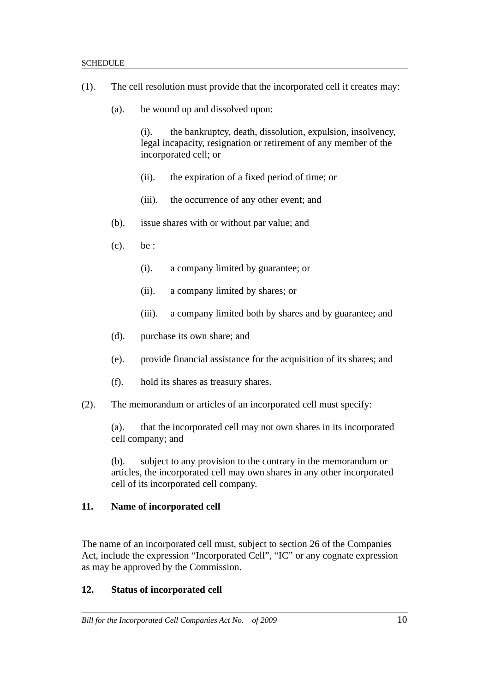- (1). The cell resolution must provide that the incorporated cell it creates may:
	- (a). be wound up and dissolved upon:

(i). the bankruptcy, death, dissolution, expulsion, insolvency, legal incapacity, resignation or retirement of any member of the incorporated cell; or

- (ii). the expiration of a fixed period of time; or
- (iii). the occurrence of any other event; and
- (b). issue shares with or without par value; and
- (c). be :
	- (i). a company limited by guarantee; or
	- (ii). a company limited by shares; or
	- (iii). a company limited both by shares and by guarantee; and
- (d). purchase its own share; and
- (e). provide financial assistance for the acquisition of its shares; and
- (f). hold its shares as treasury shares.
- (2). The memorandum or articles of an incorporated cell must specify:

(a). that the incorporated cell may not own shares in its incorporated cell company; and

(b). subject to any provision to the contrary in the memorandum or articles, the incorporated cell may own shares in any other incorporated cell of its incorporated cell company.

### **11. Name of incorporated cell**

The name of an incorporated cell must, subject to section 26 of the Companies Act, include the expression "Incorporated Cell", "IC" or any cognate expression as may be approved by the Commission.

### **12. Status of incorporated cell**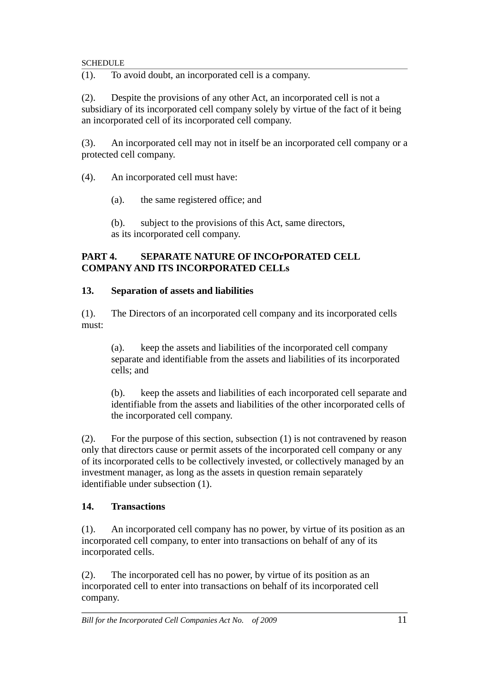(1). To avoid doubt, an incorporated cell is a company.

(2). Despite the provisions of any other Act, an incorporated cell is not a subsidiary of its incorporated cell company solely by virtue of the fact of it being an incorporated cell of its incorporated cell company.

(3). An incorporated cell may not in itself be an incorporated cell company or a protected cell company.

(4). An incorporated cell must have:

(a). the same registered office; and

(b). subject to the provisions of this Act, same directors, as its incorporated cell company.

## **PART 4. SEPARATE NATURE OF INCOrPORATED CELL COMPANY AND ITS INCORPORATED CELLs**

## **13. Separation of assets and liabilities**

(1). The Directors of an incorporated cell company and its incorporated cells must:

(a). keep the assets and liabilities of the incorporated cell company separate and identifiable from the assets and liabilities of its incorporated cells; and

(b). keep the assets and liabilities of each incorporated cell separate and identifiable from the assets and liabilities of the other incorporated cells of the incorporated cell company.

(2). For the purpose of this section, subsection (1) is not contravened by reason only that directors cause or permit assets of the incorporated cell company or any of its incorporated cells to be collectively invested, or collectively managed by an investment manager, as long as the assets in question remain separately identifiable under subsection (1).

# **14. Transactions**

(1). An incorporated cell company has no power, by virtue of its position as an incorporated cell company, to enter into transactions on behalf of any of its incorporated cells.

(2). The incorporated cell has no power, by virtue of its position as an incorporated cell to enter into transactions on behalf of its incorporated cell company.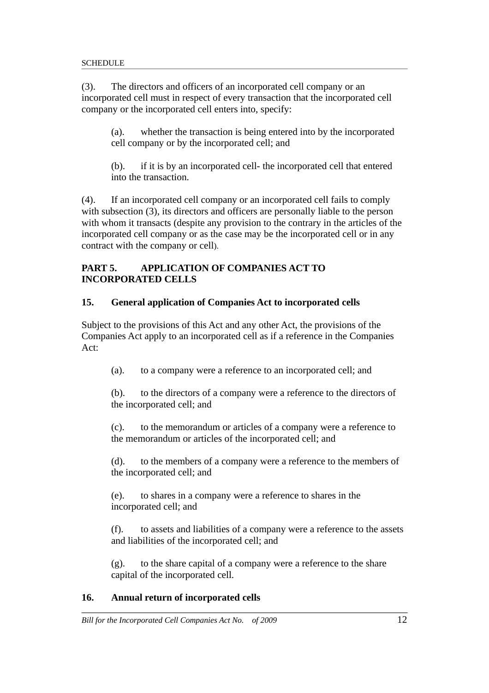(3). The directors and officers of an incorporated cell company or an incorporated cell must in respect of every transaction that the incorporated cell company or the incorporated cell enters into, specify:

(a). whether the transaction is being entered into by the incorporated cell company or by the incorporated cell; and

(b). if it is by an incorporated cell- the incorporated cell that entered into the transaction.

(4). If an incorporated cell company or an incorporated cell fails to comply with subsection (3), its directors and officers are personally liable to the person with whom it transacts (despite any provision to the contrary in the articles of the incorporated cell company or as the case may be the incorporated cell or in any contract with the company or cell).

## **PART 5. APPLICATION OF COMPANIES ACT TO INCORPORATED CELLS**

# **15. General application of Companies Act to incorporated cells**

Subject to the provisions of this Act and any other Act, the provisions of the Companies Act apply to an incorporated cell as if a reference in the Companies Act:

(a). to a company were a reference to an incorporated cell; and

(b). to the directors of a company were a reference to the directors of the incorporated cell; and

(c). to the memorandum or articles of a company were a reference to the memorandum or articles of the incorporated cell; and

(d). to the members of a company were a reference to the members of the incorporated cell; and

(e). to shares in a company were a reference to shares in the incorporated cell; and

(f). to assets and liabilities of a company were a reference to the assets and liabilities of the incorporated cell; and

(g). to the share capital of a company were a reference to the share capital of the incorporated cell.

# **16. Annual return of incorporated cells**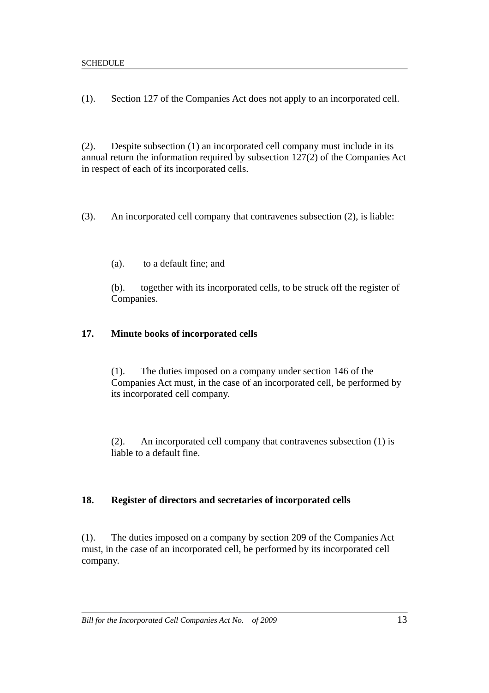(1). Section 127 of the Companies Act does not apply to an incorporated cell.

(2). Despite subsection (1) an incorporated cell company must include in its annual return the information required by subsection 127(2) of the Companies Act in respect of each of its incorporated cells.

(3). An incorporated cell company that contravenes subsection (2), is liable:

(a). to a default fine; and

(b). together with its incorporated cells, to be struck off the register of Companies.

#### **17. Minute books of incorporated cells**

(1). The duties imposed on a company under section 146 of the Companies Act must, in the case of an incorporated cell, be performed by its incorporated cell company.

(2). An incorporated cell company that contravenes subsection (1) is liable to a default fine.

### **18. Register of directors and secretaries of incorporated cells**

(1). The duties imposed on a company by section 209 of the Companies Act must, in the case of an incorporated cell, be performed by its incorporated cell company.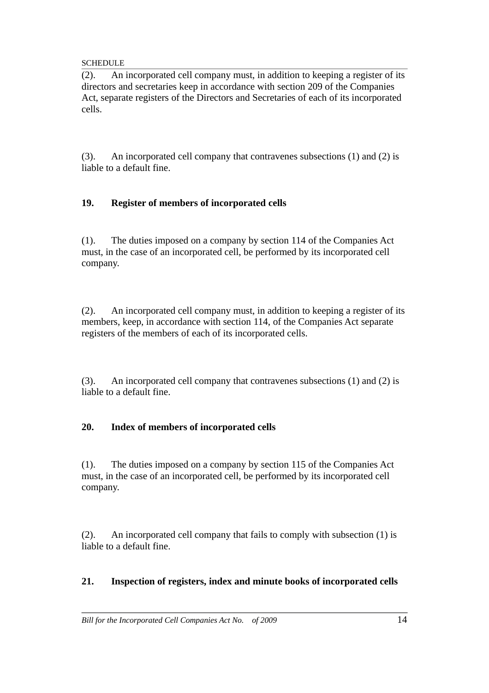(2). An incorporated cell company must, in addition to keeping a register of its directors and secretaries keep in accordance with section 209 of the Companies Act, separate registers of the Directors and Secretaries of each of its incorporated cells.

(3). An incorporated cell company that contravenes subsections (1) and (2) is liable to a default fine.

# **19. Register of members of incorporated cells**

(1). The duties imposed on a company by section 114 of the Companies Act must, in the case of an incorporated cell, be performed by its incorporated cell company.

(2). An incorporated cell company must, in addition to keeping a register of its members, keep, in accordance with section 114, of the Companies Act separate registers of the members of each of its incorporated cells.

(3). An incorporated cell company that contravenes subsections (1) and (2) is liable to a default fine.

# **20. Index of members of incorporated cells**

(1). The duties imposed on a company by section 115 of the Companies Act must, in the case of an incorporated cell, be performed by its incorporated cell company.

(2). An incorporated cell company that fails to comply with subsection (1) is liable to a default fine.

# **21. Inspection of registers, index and minute books of incorporated cells**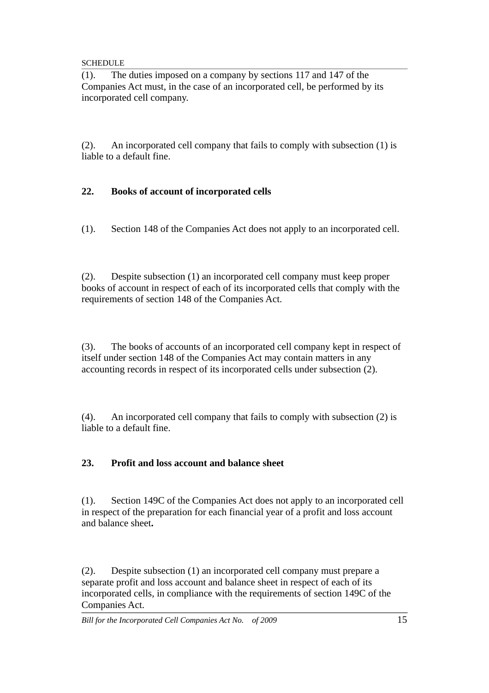(1). The duties imposed on a company by sections 117 and 147 of the Companies Act must, in the case of an incorporated cell, be performed by its incorporated cell company.

(2). An incorporated cell company that fails to comply with subsection (1) is liable to a default fine.

## **22. Books of account of incorporated cells**

(1). Section 148 of the Companies Act does not apply to an incorporated cell.

(2). Despite subsection (1) an incorporated cell company must keep proper books of account in respect of each of its incorporated cells that comply with the requirements of section 148 of the Companies Act.

(3). The books of accounts of an incorporated cell company kept in respect of itself under section 148 of the Companies Act may contain matters in any accounting records in respect of its incorporated cells under subsection (2).

(4). An incorporated cell company that fails to comply with subsection (2) is liable to a default fine.

### **23. Profit and loss account and balance sheet**

(1). Section 149C of the Companies Act does not apply to an incorporated cell in respect of the preparation for each financial year of a profit and loss account and balance sheet**.**

(2). Despite subsection (1) an incorporated cell company must prepare a separate profit and loss account and balance sheet in respect of each of its incorporated cells, in compliance with the requirements of section 149C of the Companies Act.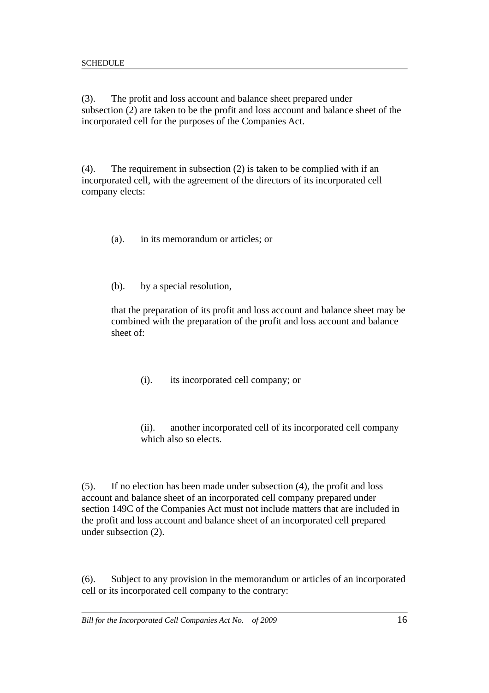(3). The profit and loss account and balance sheet prepared under subsection (2) are taken to be the profit and loss account and balance sheet of the incorporated cell for the purposes of the Companies Act.

(4). The requirement in subsection (2) is taken to be complied with if an incorporated cell, with the agreement of the directors of its incorporated cell company elects:

(a). in its memorandum or articles; or

(b). by a special resolution,

that the preparation of its profit and loss account and balance sheet may be combined with the preparation of the profit and loss account and balance sheet of:

(i). its incorporated cell company; or

(ii). another incorporated cell of its incorporated cell company which also so elects.

(5). If no election has been made under subsection (4), the profit and loss account and balance sheet of an incorporated cell company prepared under section 149C of the Companies Act must not include matters that are included in the profit and loss account and balance sheet of an incorporated cell prepared under subsection (2).

(6). Subject to any provision in the memorandum or articles of an incorporated cell or its incorporated cell company to the contrary: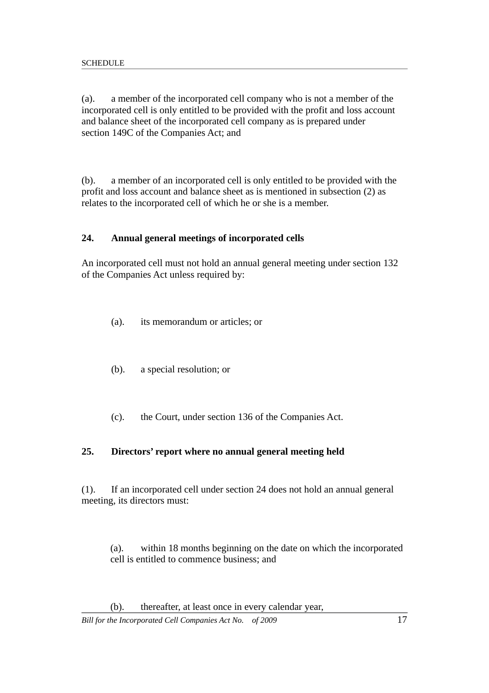(a). a member of the incorporated cell company who is not a member of the incorporated cell is only entitled to be provided with the profit and loss account and balance sheet of the incorporated cell company as is prepared under section 149C of the Companies Act; and

(b). a member of an incorporated cell is only entitled to be provided with the profit and loss account and balance sheet as is mentioned in subsection (2) as relates to the incorporated cell of which he or she is a member.

### **24. Annual general meetings of incorporated cells**

An incorporated cell must not hold an annual general meeting under section 132 of the Companies Act unless required by:

- (a). its memorandum or articles; or
- (b). a special resolution; or
- (c). the Court, under section 136 of the Companies Act.

#### **25. Directors' report where no annual general meeting held**

(1). If an incorporated cell under section 24 does not hold an annual general meeting, its directors must:

(a). within 18 months beginning on the date on which the incorporated cell is entitled to commence business; and

(b). thereafter, at least once in every calendar year,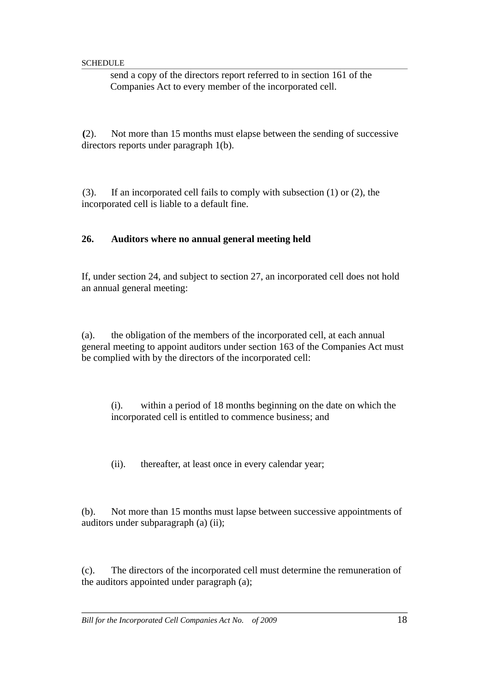send a copy of the directors report referred to in section 161 of the Companies Act to every member of the incorporated cell.

**(**2). Not more than 15 months must elapse between the sending of successive directors reports under paragraph 1(b).

(3). If an incorporated cell fails to comply with subsection (1) or (2), the incorporated cell is liable to a default fine.

### **26. Auditors where no annual general meeting held**

If, under section 24, and subject to section 27, an incorporated cell does not hold an annual general meeting:

(a). the obligation of the members of the incorporated cell, at each annual general meeting to appoint auditors under section 163 of the Companies Act must be complied with by the directors of the incorporated cell:

(i). within a period of 18 months beginning on the date on which the incorporated cell is entitled to commence business; and

(ii). thereafter, at least once in every calendar year;

(b). Not more than 15 months must lapse between successive appointments of auditors under subparagraph (a) (ii);

(c). The directors of the incorporated cell must determine the remuneration of the auditors appointed under paragraph (a);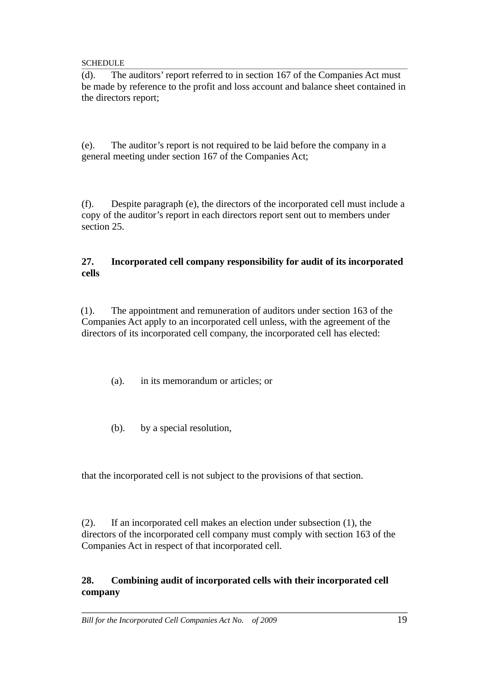(d). The auditors' report referred to in section 167 of the Companies Act must be made by reference to the profit and loss account and balance sheet contained in the directors report;

(e). The auditor's report is not required to be laid before the company in a general meeting under section 167 of the Companies Act;

(f). Despite paragraph (e), the directors of the incorporated cell must include a copy of the auditor's report in each directors report sent out to members under section 25.

### **27. Incorporated cell company responsibility for audit of its incorporated cells**

(1). The appointment and remuneration of auditors under section 163 of the Companies Act apply to an incorporated cell unless, with the agreement of the directors of its incorporated cell company, the incorporated cell has elected:

- (a). in its memorandum or articles; or
- (b). by a special resolution,

that the incorporated cell is not subject to the provisions of that section.

(2). If an incorporated cell makes an election under subsection (1), the directors of the incorporated cell company must comply with section 163 of the Companies Act in respect of that incorporated cell.

## **28. Combining audit of incorporated cells with their incorporated cell company**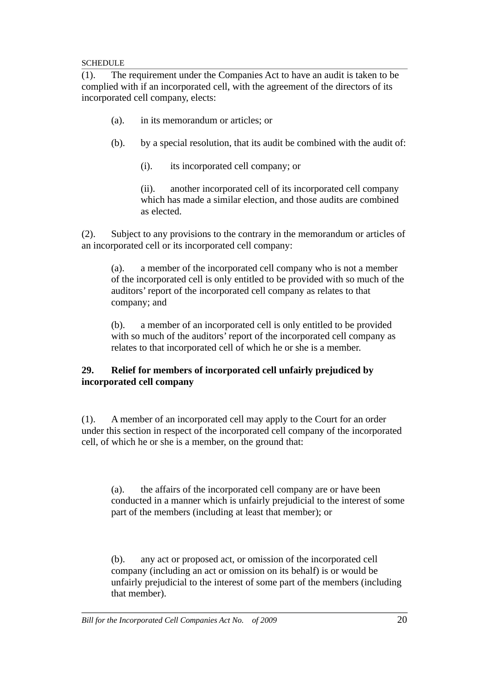(1). The requirement under the Companies Act to have an audit is taken to be complied with if an incorporated cell, with the agreement of the directors of its incorporated cell company, elects:

- (a). in its memorandum or articles; or
- (b). by a special resolution, that its audit be combined with the audit of:
	- (i). its incorporated cell company; or

(ii). another incorporated cell of its incorporated cell company which has made a similar election, and those audits are combined as elected.

(2). Subject to any provisions to the contrary in the memorandum or articles of an incorporated cell or its incorporated cell company:

(a). a member of the incorporated cell company who is not a member of the incorporated cell is only entitled to be provided with so much of the auditors' report of the incorporated cell company as relates to that company; and

(b). a member of an incorporated cell is only entitled to be provided with so much of the auditors' report of the incorporated cell company as relates to that incorporated cell of which he or she is a member.

## **29. Relief for members of incorporated cell unfairly prejudiced by incorporated cell company**

(1). A member of an incorporated cell may apply to the Court for an order under this section in respect of the incorporated cell company of the incorporated cell, of which he or she is a member, on the ground that:

(a). the affairs of the incorporated cell company are or have been conducted in a manner which is unfairly prejudicial to the interest of some part of the members (including at least that member); or

(b). any act or proposed act, or omission of the incorporated cell company (including an act or omission on its behalf) is or would be unfairly prejudicial to the interest of some part of the members (including that member).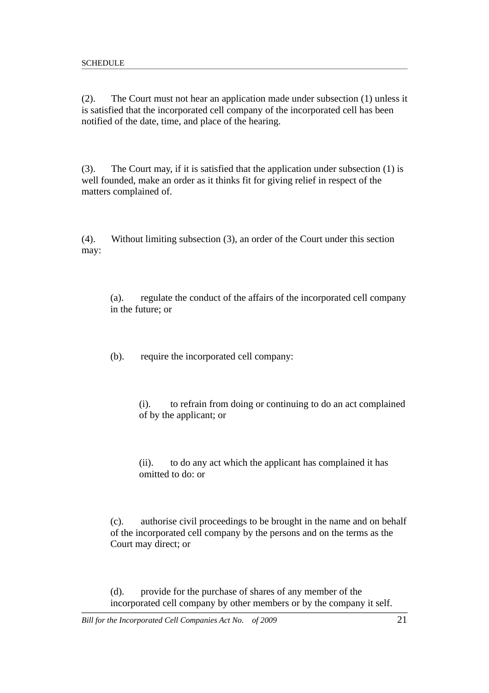(2). The Court must not hear an application made under subsection (1) unless it is satisfied that the incorporated cell company of the incorporated cell has been notified of the date, time, and place of the hearing.

(3). The Court may, if it is satisfied that the application under subsection (1) is well founded, make an order as it thinks fit for giving relief in respect of the matters complained of.

(4). Without limiting subsection (3), an order of the Court under this section may:

(a). regulate the conduct of the affairs of the incorporated cell company in the future; or

(b). require the incorporated cell company:

(i). to refrain from doing or continuing to do an act complained of by the applicant; or

(ii). to do any act which the applicant has complained it has omitted to do: or

(c). authorise civil proceedings to be brought in the name and on behalf of the incorporated cell company by the persons and on the terms as the Court may direct; or

(d). provide for the purchase of shares of any member of the incorporated cell company by other members or by the company it self.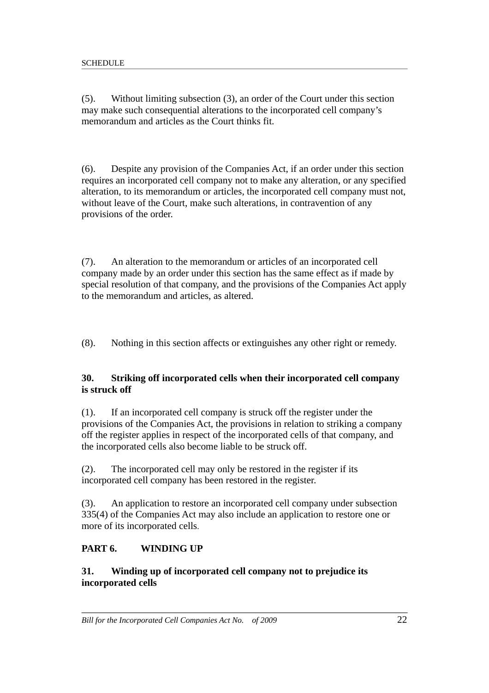(5). Without limiting subsection (3), an order of the Court under this section may make such consequential alterations to the incorporated cell company's memorandum and articles as the Court thinks fit.

(6). Despite any provision of the Companies Act, if an order under this section requires an incorporated cell company not to make any alteration, or any specified alteration, to its memorandum or articles, the incorporated cell company must not, without leave of the Court, make such alterations, in contravention of any provisions of the order.

(7). An alteration to the memorandum or articles of an incorporated cell company made by an order under this section has the same effect as if made by special resolution of that company, and the provisions of the Companies Act apply to the memorandum and articles, as altered.

(8). Nothing in this section affects or extinguishes any other right or remedy.

## **30. Striking off incorporated cells when their incorporated cell company is struck off**

(1). If an incorporated cell company is struck off the register under the provisions of the Companies Act, the provisions in relation to striking a company off the register applies in respect of the incorporated cells of that company, and the incorporated cells also become liable to be struck off.

(2). The incorporated cell may only be restored in the register if its incorporated cell company has been restored in the register.

(3). An application to restore an incorporated cell company under subsection 335(4) of the Companies Act may also include an application to restore one or more of its incorporated cells.

### **PART 6. WINDING UP**

### **31. Winding up of incorporated cell company not to prejudice its incorporated cells**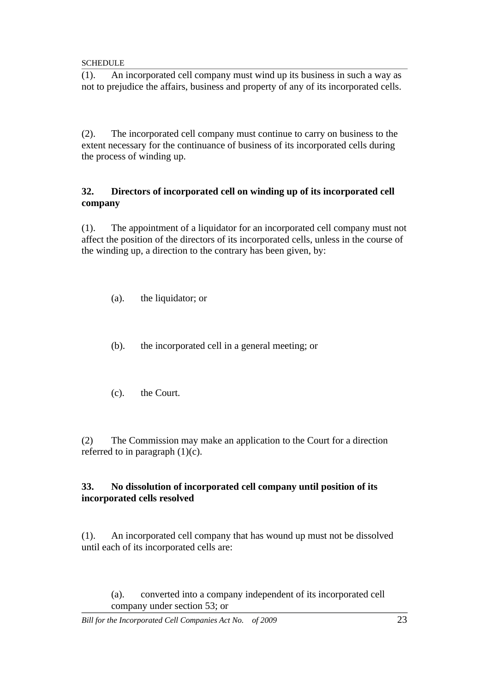(1). An incorporated cell company must wind up its business in such a way as not to prejudice the affairs, business and property of any of its incorporated cells.

(2). The incorporated cell company must continue to carry on business to the extent necessary for the continuance of business of its incorporated cells during the process of winding up.

### **32. Directors of incorporated cell on winding up of its incorporated cell company**

(1). The appointment of a liquidator for an incorporated cell company must not affect the position of the directors of its incorporated cells, unless in the course of the winding up, a direction to the contrary has been given, by:

- (a). the liquidator; or
- (b). the incorporated cell in a general meeting; or
- (c). the Court.

(2) The Commission may make an application to the Court for a direction referred to in paragraph  $(1)(c)$ .

## **33. No dissolution of incorporated cell company until position of its incorporated cells resolved**

(1). An incorporated cell company that has wound up must not be dissolved until each of its incorporated cells are:

(a). converted into a company independent of its incorporated cell company under section 53; or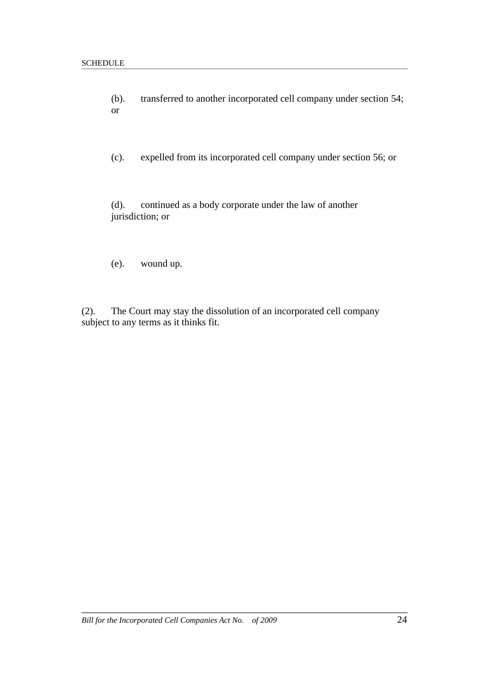- (b). transferred to another incorporated cell company under section 54; or
- (c). expelled from its incorporated cell company under section 56; or

(d). continued as a body corporate under the law of another jurisdiction; or

(e). wound up.

(2). The Court may stay the dissolution of an incorporated cell company subject to any terms as it thinks fit.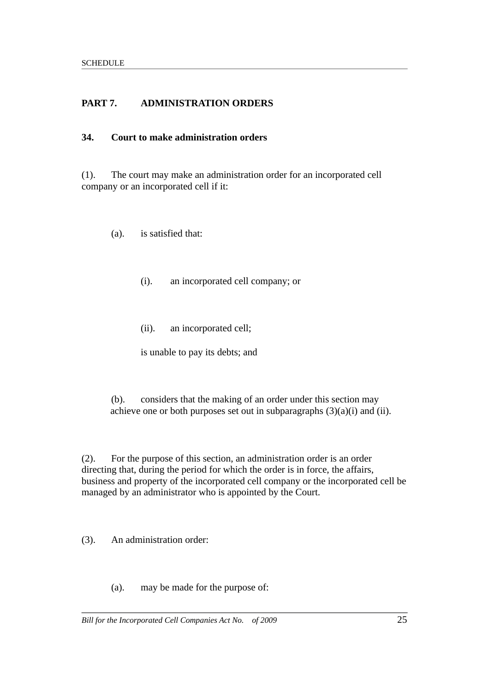# **PART 7. ADMINISTRATION ORDERS**

### **34. Court to make administration orders**

(1). The court may make an administration order for an incorporated cell company or an incorporated cell if it:

(a). is satisfied that:

- (i). an incorporated cell company; or
- (ii). an incorporated cell;

is unable to pay its debts; and

(b). considers that the making of an order under this section may achieve one or both purposes set out in subparagraphs  $(3)(a)(i)$  and  $(ii)$ .

(2). For the purpose of this section, an administration order is an order directing that, during the period for which the order is in force, the affairs, business and property of the incorporated cell company or the incorporated cell be managed by an administrator who is appointed by the Court.

(3). An administration order:

(a). may be made for the purpose of: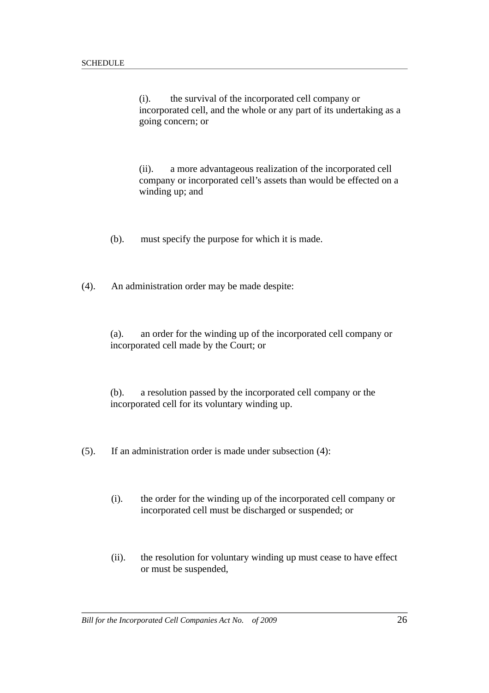(i). the survival of the incorporated cell company or incorporated cell, and the whole or any part of its undertaking as a going concern; or

(ii). a more advantageous realization of the incorporated cell company or incorporated cell's assets than would be effected on a winding up; and

(b). must specify the purpose for which it is made.

(4). An administration order may be made despite:

(a). an order for the winding up of the incorporated cell company or incorporated cell made by the Court; or

(b). a resolution passed by the incorporated cell company or the incorporated cell for its voluntary winding up.

(5). If an administration order is made under subsection (4):

- (i). the order for the winding up of the incorporated cell company or incorporated cell must be discharged or suspended; or
- (ii). the resolution for voluntary winding up must cease to have effect or must be suspended,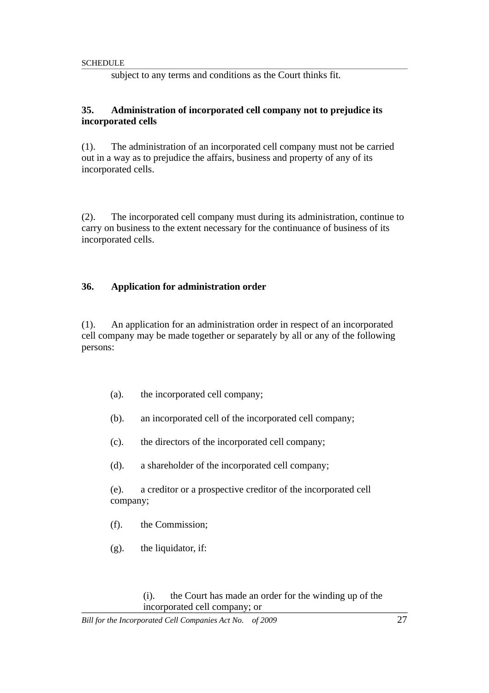subject to any terms and conditions as the Court thinks fit.

#### **35. Administration of incorporated cell company not to prejudice its incorporated cells**

(1). The administration of an incorporated cell company must not be carried out in a way as to prejudice the affairs, business and property of any of its incorporated cells.

(2). The incorporated cell company must during its administration, continue to carry on business to the extent necessary for the continuance of business of its incorporated cells.

### **36. Application for administration order**

(1). An application for an administration order in respect of an incorporated cell company may be made together or separately by all or any of the following persons:

- (a). the incorporated cell company;
- (b). an incorporated cell of the incorporated cell company;
- (c). the directors of the incorporated cell company;
- (d). a shareholder of the incorporated cell company;

(e). a creditor or a prospective creditor of the incorporated cell company;

- (f). the Commission;
- (g). the liquidator, if:

(i). the Court has made an order for the winding up of the incorporated cell company; or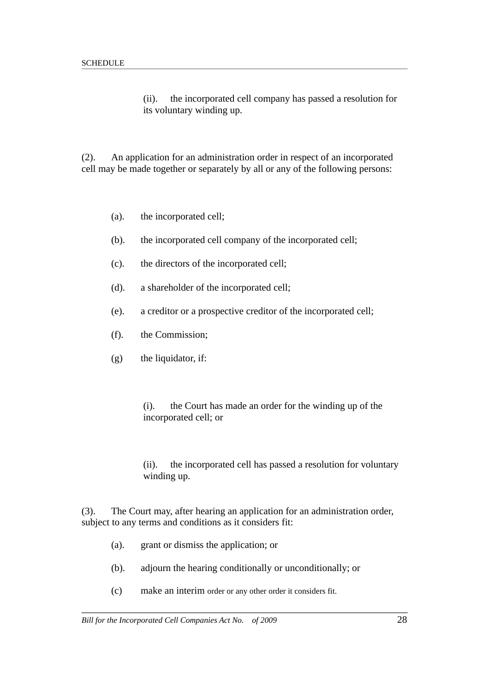(ii). the incorporated cell company has passed a resolution for its voluntary winding up.

(2). An application for an administration order in respect of an incorporated cell may be made together or separately by all or any of the following persons:

- (a). the incorporated cell;
- (b). the incorporated cell company of the incorporated cell;
- (c). the directors of the incorporated cell;
- (d). a shareholder of the incorporated cell;
- (e). a creditor or a prospective creditor of the incorporated cell;
- (f). the Commission;
- (g) the liquidator, if:
	- (i). the Court has made an order for the winding up of the incorporated cell; or
	- (ii). the incorporated cell has passed a resolution for voluntary winding up.

(3). The Court may, after hearing an application for an administration order, subject to any terms and conditions as it considers fit:

- (a). grant or dismiss the application; or
- (b). adjourn the hearing conditionally or unconditionally; or
- (c) make an interim order or any other order it considers fit.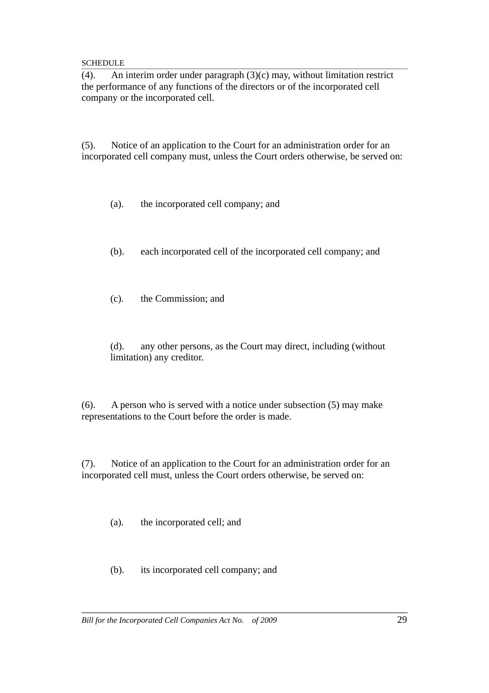(4). An interim order under paragraph (3)(c) may, without limitation restrict the performance of any functions of the directors or of the incorporated cell company or the incorporated cell.

(5). Notice of an application to the Court for an administration order for an incorporated cell company must, unless the Court orders otherwise, be served on:

(a). the incorporated cell company; and

- (b). each incorporated cell of the incorporated cell company; and
- (c). the Commission; and

(d). any other persons, as the Court may direct, including (without limitation) any creditor.

(6). A person who is served with a notice under subsection (5) may make representations to the Court before the order is made.

(7). Notice of an application to the Court for an administration order for an incorporated cell must, unless the Court orders otherwise, be served on:

(a). the incorporated cell; and

(b). its incorporated cell company; and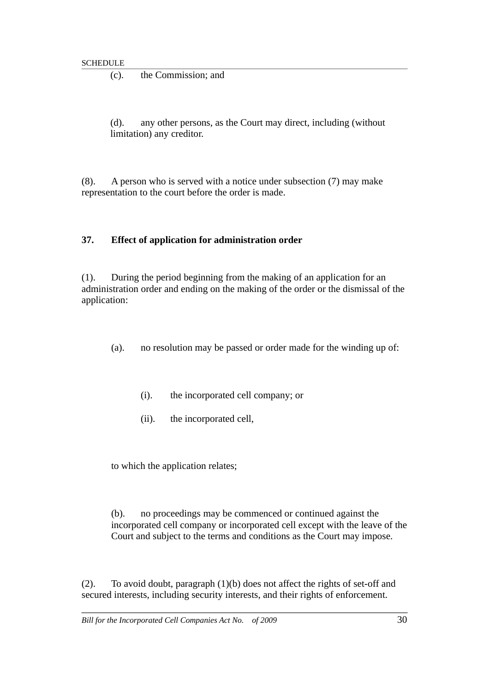(c). the Commission; and

(d). any other persons, as the Court may direct, including (without limitation) any creditor.

(8). A person who is served with a notice under subsection (7) may make representation to the court before the order is made.

### **37. Effect of application for administration order**

(1). During the period beginning from the making of an application for an administration order and ending on the making of the order or the dismissal of the application:

- (a). no resolution may be passed or order made for the winding up of:
	- (i). the incorporated cell company; or
	- (ii). the incorporated cell,

to which the application relates;

(b). no proceedings may be commenced or continued against the incorporated cell company or incorporated cell except with the leave of the Court and subject to the terms and conditions as the Court may impose.

(2). To avoid doubt, paragraph (1)(b) does not affect the rights of set-off and secured interests, including security interests, and their rights of enforcement.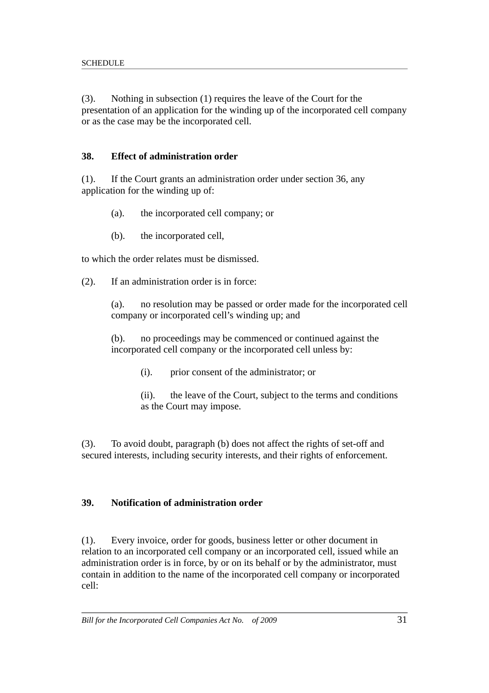(3). Nothing in subsection (1) requires the leave of the Court for the presentation of an application for the winding up of the incorporated cell company or as the case may be the incorporated cell.

## **38. Effect of administration order**

(1). If the Court grants an administration order under section 36, any application for the winding up of:

- (a). the incorporated cell company; or
- (b). the incorporated cell,

to which the order relates must be dismissed.

(2). If an administration order is in force:

(a). no resolution may be passed or order made for the incorporated cell company or incorporated cell's winding up; and

(b). no proceedings may be commenced or continued against the incorporated cell company or the incorporated cell unless by:

- (i). prior consent of the administrator; or
- (ii). the leave of the Court, subject to the terms and conditions as the Court may impose.

(3). To avoid doubt, paragraph (b) does not affect the rights of set-off and secured interests, including security interests, and their rights of enforcement.

# **39. Notification of administration order**

(1). Every invoice, order for goods, business letter or other document in relation to an incorporated cell company or an incorporated cell, issued while an administration order is in force, by or on its behalf or by the administrator, must contain in addition to the name of the incorporated cell company or incorporated cell: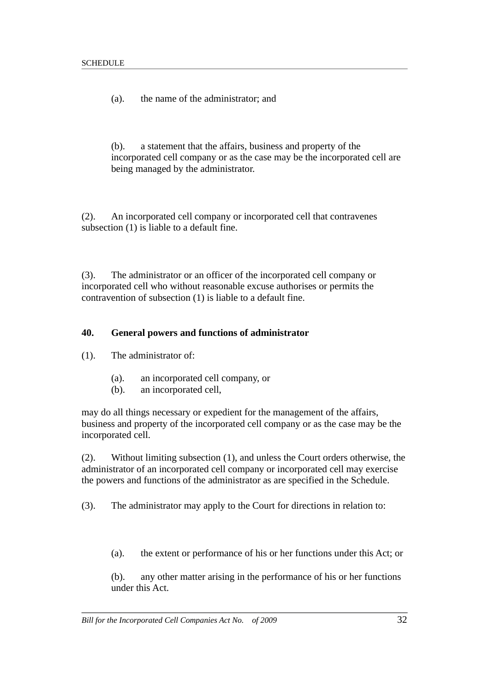(a). the name of the administrator; and

(b). a statement that the affairs, business and property of the incorporated cell company or as the case may be the incorporated cell are being managed by the administrator.

(2). An incorporated cell company or incorporated cell that contravenes subsection (1) is liable to a default fine.

(3). The administrator or an officer of the incorporated cell company or incorporated cell who without reasonable excuse authorises or permits the contravention of subsection (1) is liable to a default fine.

#### **40. General powers and functions of administrator**

(1). The administrator of:

- (a). an incorporated cell company, or
- (b). an incorporated cell,

may do all things necessary or expedient for the management of the affairs, business and property of the incorporated cell company or as the case may be the incorporated cell.

(2). Without limiting subsection (1), and unless the Court orders otherwise, the administrator of an incorporated cell company or incorporated cell may exercise the powers and functions of the administrator as are specified in the Schedule.

(3). The administrator may apply to the Court for directions in relation to:

(a). the extent or performance of his or her functions under this Act; or

(b). any other matter arising in the performance of his or her functions under this Act.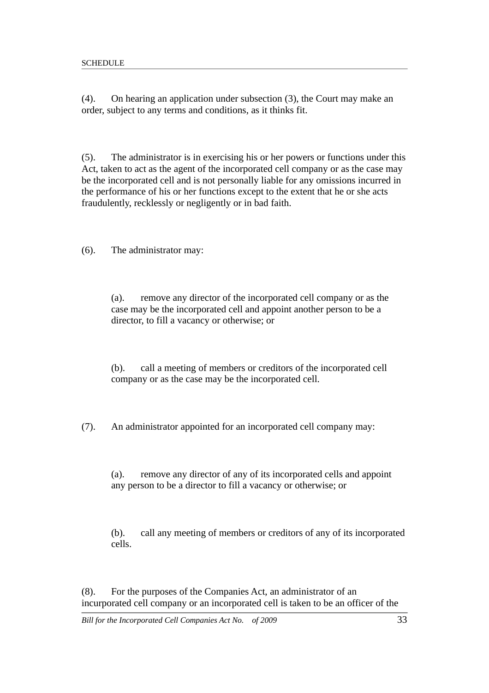(4). On hearing an application under subsection (3), the Court may make an order, subject to any terms and conditions, as it thinks fit.

(5). The administrator is in exercising his or her powers or functions under this Act, taken to act as the agent of the incorporated cell company or as the case may be the incorporated cell and is not personally liable for any omissions incurred in the performance of his or her functions except to the extent that he or she acts fraudulently, recklessly or negligently or in bad faith.

(6). The administrator may:

(a). remove any director of the incorporated cell company or as the case may be the incorporated cell and appoint another person to be a director, to fill a vacancy or otherwise; or

(b). call a meeting of members or creditors of the incorporated cell company or as the case may be the incorporated cell.

(7). An administrator appointed for an incorporated cell company may:

(a). remove any director of any of its incorporated cells and appoint any person to be a director to fill a vacancy or otherwise; or

(b). call any meeting of members or creditors of any of its incorporated cells.

(8). For the purposes of the Companies Act, an administrator of an incurporated cell company or an incorporated cell is taken to be an officer of the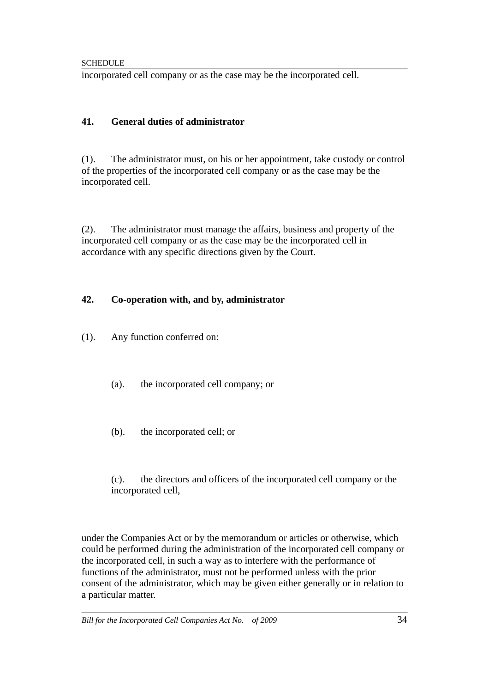incorporated cell company or as the case may be the incorporated cell.

## **41. General duties of administrator**

(1). The administrator must, on his or her appointment, take custody or control of the properties of the incorporated cell company or as the case may be the incorporated cell.

(2). The administrator must manage the affairs, business and property of the incorporated cell company or as the case may be the incorporated cell in accordance with any specific directions given by the Court.

## **42. Co-operation with, and by, administrator**

- (1). Any function conferred on:
	- (a). the incorporated cell company; or
	- (b). the incorporated cell; or

(c). the directors and officers of the incorporated cell company or the incorporated cell,

under the Companies Act or by the memorandum or articles or otherwise, which could be performed during the administration of the incorporated cell company or the incorporated cell, in such a way as to interfere with the performance of functions of the administrator, must not be performed unless with the prior consent of the administrator, which may be given either generally or in relation to a particular matter.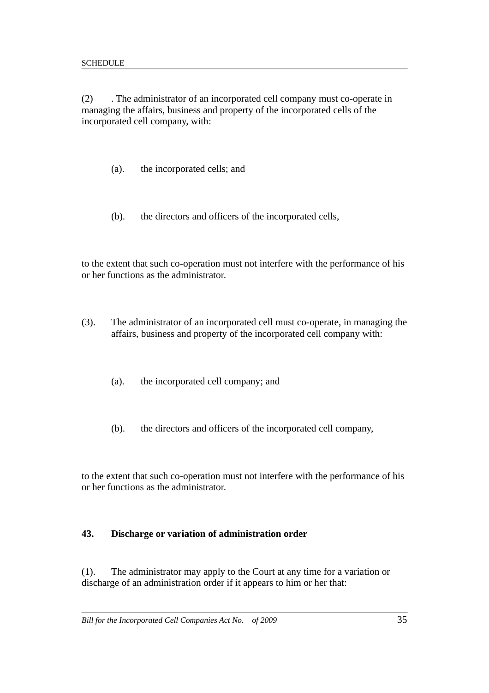(2) . The administrator of an incorporated cell company must co-operate in managing the affairs, business and property of the incorporated cells of the incorporated cell company, with:

- (a). the incorporated cells; and
- (b). the directors and officers of the incorporated cells,

to the extent that such co-operation must not interfere with the performance of his or her functions as the administrator.

- (3). The administrator of an incorporated cell must co-operate, in managing the affairs, business and property of the incorporated cell company with:
	- (a). the incorporated cell company; and
	- (b). the directors and officers of the incorporated cell company,

to the extent that such co-operation must not interfere with the performance of his or her functions as the administrator.

#### **43. Discharge or variation of administration order**

(1). The administrator may apply to the Court at any time for a variation or discharge of an administration order if it appears to him or her that: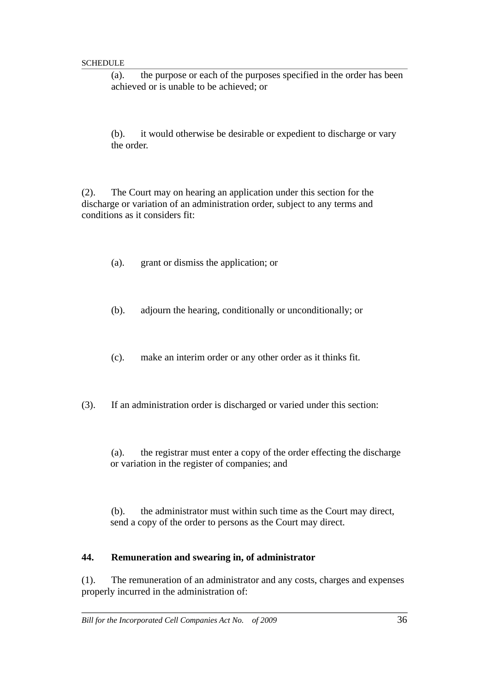(a). the purpose or each of the purposes specified in the order has been achieved or is unable to be achieved; or

(b). it would otherwise be desirable or expedient to discharge or vary the order.

(2). The Court may on hearing an application under this section for the discharge or variation of an administration order, subject to any terms and conditions as it considers fit:

- (a). grant or dismiss the application; or
- (b). adjourn the hearing, conditionally or unconditionally; or
- (c). make an interim order or any other order as it thinks fit.
- (3). If an administration order is discharged or varied under this section:
	- (a). the registrar must enter a copy of the order effecting the discharge or variation in the register of companies; and

(b). the administrator must within such time as the Court may direct, send a copy of the order to persons as the Court may direct.

#### **44. Remuneration and swearing in, of administrator**

(1). The remuneration of an administrator and any costs, charges and expenses properly incurred in the administration of: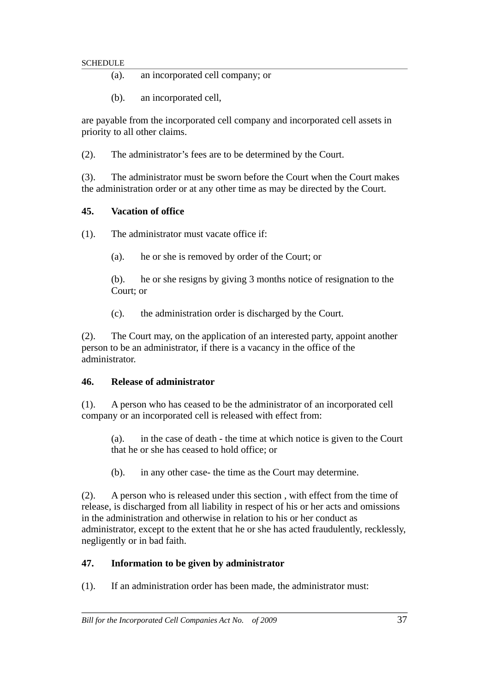- (a). an incorporated cell company; or
- (b). an incorporated cell,

are payable from the incorporated cell company and incorporated cell assets in priority to all other claims.

(2). The administrator's fees are to be determined by the Court.

(3). The administrator must be sworn before the Court when the Court makes the administration order or at any other time as may be directed by the Court.

#### **45. Vacation of office**

- (1). The administrator must vacate office if:
	- (a). he or she is removed by order of the Court; or

(b). he or she resigns by giving 3 months notice of resignation to the Court; or

(c). the administration order is discharged by the Court.

(2). The Court may, on the application of an interested party, appoint another person to be an administrator, if there is a vacancy in the office of the administrator.

#### **46. Release of administrator**

(1). A person who has ceased to be the administrator of an incorporated cell company or an incorporated cell is released with effect from:

(a). in the case of death - the time at which notice is given to the Court that he or she has ceased to hold office; or

(b). in any other case- the time as the Court may determine.

(2). A person who is released under this section , with effect from the time of release, is discharged from all liability in respect of his or her acts and omissions in the administration and otherwise in relation to his or her conduct as administrator, except to the extent that he or she has acted fraudulently, recklessly, negligently or in bad faith.

#### **47. Information to be given by administrator**

(1). If an administration order has been made, the administrator must: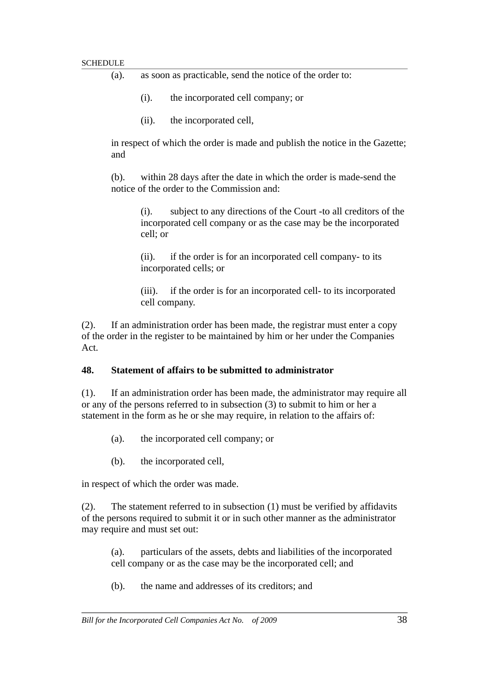| as soon as practicable, send the notice of the order to:<br>(a). |
|------------------------------------------------------------------|
|------------------------------------------------------------------|

- (i). the incorporated cell company; or
- (ii). the incorporated cell,

in respect of which the order is made and publish the notice in the Gazette; and

(b). within 28 days after the date in which the order is made-send the notice of the order to the Commission and:

(i). subject to any directions of the Court -to all creditors of the incorporated cell company or as the case may be the incorporated cell; or

(ii). if the order is for an incorporated cell company- to its incorporated cells; or

(iii). if the order is for an incorporated cell- to its incorporated cell company.

(2). If an administration order has been made, the registrar must enter a copy of the order in the register to be maintained by him or her under the Companies Act.

#### **48. Statement of affairs to be submitted to administrator**

(1). If an administration order has been made, the administrator may require all or any of the persons referred to in subsection (3) to submit to him or her a statement in the form as he or she may require, in relation to the affairs of:

- (a). the incorporated cell company; or
- (b). the incorporated cell,

in respect of which the order was made.

(2). The statement referred to in subsection (1) must be verified by affidavits of the persons required to submit it or in such other manner as the administrator may require and must set out:

(a). particulars of the assets, debts and liabilities of the incorporated cell company or as the case may be the incorporated cell; and

(b). the name and addresses of its creditors; and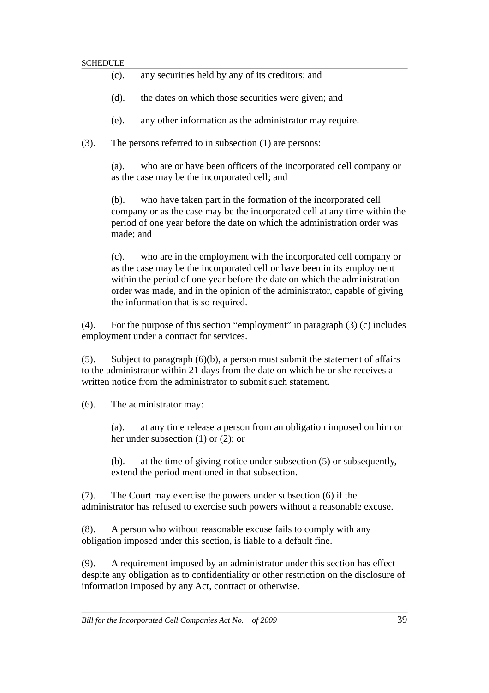| (c). |  |  |  | any securities held by any of its creditors; and |  |
|------|--|--|--|--------------------------------------------------|--|
|      |  |  |  |                                                  |  |

- (d). the dates on which those securities were given; and
- (e). any other information as the administrator may require.
- (3). The persons referred to in subsection (1) are persons:

(a). who are or have been officers of the incorporated cell company or as the case may be the incorporated cell; and

(b). who have taken part in the formation of the incorporated cell company or as the case may be the incorporated cell at any time within the period of one year before the date on which the administration order was made; and

(c). who are in the employment with the incorporated cell company or as the case may be the incorporated cell or have been in its employment within the period of one year before the date on which the administration order was made, and in the opinion of the administrator, capable of giving the information that is so required.

(4). For the purpose of this section "employment" in paragraph (3) (c) includes employment under a contract for services.

(5). Subject to paragraph (6)(b), a person must submit the statement of affairs to the administrator within 21 days from the date on which he or she receives a written notice from the administrator to submit such statement.

(6). The administrator may:

(a). at any time release a person from an obligation imposed on him or her under subsection (1) or (2); or

(b). at the time of giving notice under subsection (5) or subsequently, extend the period mentioned in that subsection.

(7). The Court may exercise the powers under subsection (6) if the administrator has refused to exercise such powers without a reasonable excuse.

(8). A person who without reasonable excuse fails to comply with any obligation imposed under this section, is liable to a default fine.

(9). A requirement imposed by an administrator under this section has effect despite any obligation as to confidentiality or other restriction on the disclosure of information imposed by any Act, contract or otherwise.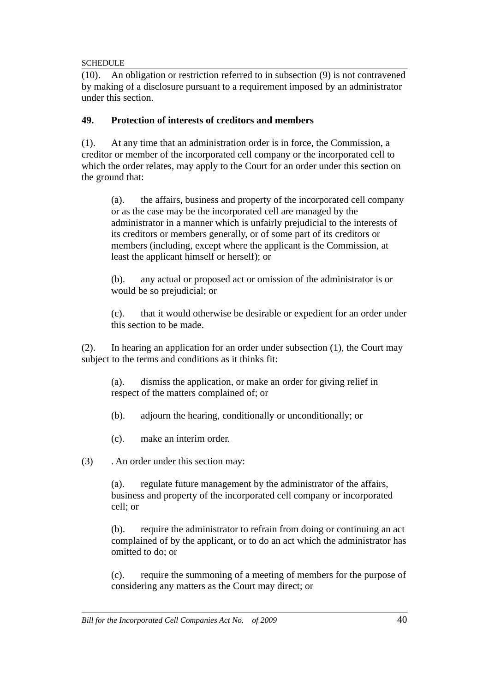(10). An obligation or restriction referred to in subsection (9) is not contravened by making of a disclosure pursuant to a requirement imposed by an administrator under this section.

## **49. Protection of interests of creditors and members**

(1). At any time that an administration order is in force, the Commission, a creditor or member of the incorporated cell company or the incorporated cell to which the order relates, may apply to the Court for an order under this section on the ground that:

(a). the affairs, business and property of the incorporated cell company or as the case may be the incorporated cell are managed by the administrator in a manner which is unfairly prejudicial to the interests of its creditors or members generally, or of some part of its creditors or members (including, except where the applicant is the Commission, at least the applicant himself or herself); or

(b). any actual or proposed act or omission of the administrator is or would be so prejudicial; or

(c). that it would otherwise be desirable or expedient for an order under this section to be made.

(2). In hearing an application for an order under subsection (1), the Court may subject to the terms and conditions as it thinks fit:

(a). dismiss the application, or make an order for giving relief in respect of the matters complained of; or

(b). adjourn the hearing, conditionally or unconditionally; or

(c). make an interim order.

(3) . An order under this section may:

(a). regulate future management by the administrator of the affairs, business and property of the incorporated cell company or incorporated cell; or

(b). require the administrator to refrain from doing or continuing an act complained of by the applicant, or to do an act which the administrator has omitted to do; or

(c). require the summoning of a meeting of members for the purpose of considering any matters as the Court may direct; or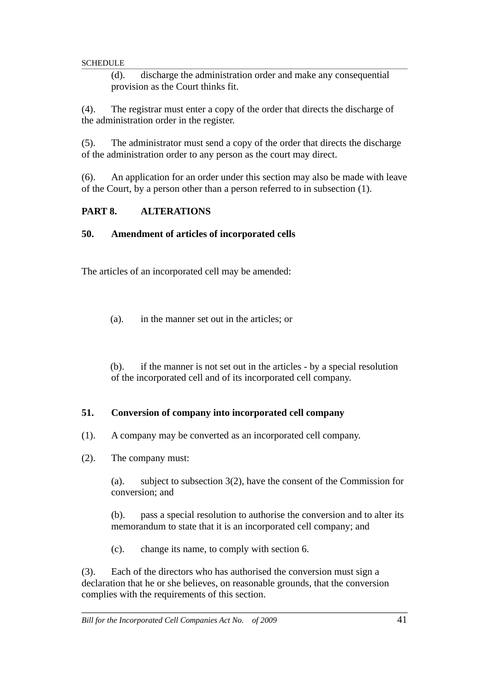(d). discharge the administration order and make any consequential provision as the Court thinks fit.

(4). The registrar must enter a copy of the order that directs the discharge of the administration order in the register.

(5). The administrator must send a copy of the order that directs the discharge of the administration order to any person as the court may direct.

(6). An application for an order under this section may also be made with leave of the Court, by a person other than a person referred to in subsection (1).

### **PART 8. ALTERATIONS**

### **50. Amendment of articles of incorporated cells**

The articles of an incorporated cell may be amended:

(a). in the manner set out in the articles; or

(b). if the manner is not set out in the articles - by a special resolution of the incorporated cell and of its incorporated cell company.

### **51. Conversion of company into incorporated cell company**

- (1). A company may be converted as an incorporated cell company.
- (2). The company must:

(a). subject to subsection 3(2), have the consent of the Commission for conversion; and

(b). pass a special resolution to authorise the conversion and to alter its memorandum to state that it is an incorporated cell company; and

(c). change its name, to comply with section 6.

(3). Each of the directors who has authorised the conversion must sign a declaration that he or she believes, on reasonable grounds, that the conversion complies with the requirements of this section.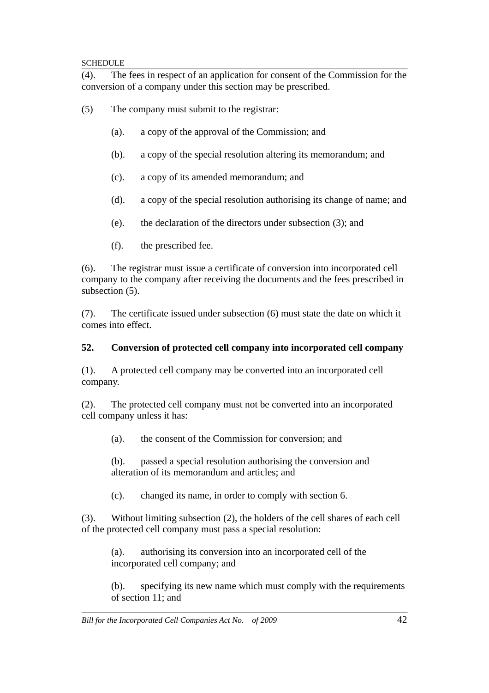(4). The fees in respect of an application for consent of the Commission for the conversion of a company under this section may be prescribed.

(5) The company must submit to the registrar:

- (a). a copy of the approval of the Commission; and
- (b). a copy of the special resolution altering its memorandum; and
- (c). a copy of its amended memorandum; and
- (d). a copy of the special resolution authorising its change of name; and
- (e). the declaration of the directors under subsection (3); and
- (f). the prescribed fee.

(6). The registrar must issue a certificate of conversion into incorporated cell company to the company after receiving the documents and the fees prescribed in subsection (5).

(7). The certificate issued under subsection (6) must state the date on which it comes into effect.

### **52. Conversion of protected cell company into incorporated cell company**

(1). A protected cell company may be converted into an incorporated cell company.

(2). The protected cell company must not be converted into an incorporated cell company unless it has:

(a). the consent of the Commission for conversion; and

(b). passed a special resolution authorising the conversion and alteration of its memorandum and articles; and

(c). changed its name, in order to comply with section 6.

(3). Without limiting subsection (2), the holders of the cell shares of each cell of the protected cell company must pass a special resolution:

(a). authorising its conversion into an incorporated cell of the incorporated cell company; and

(b). specifying its new name which must comply with the requirements of section 11; and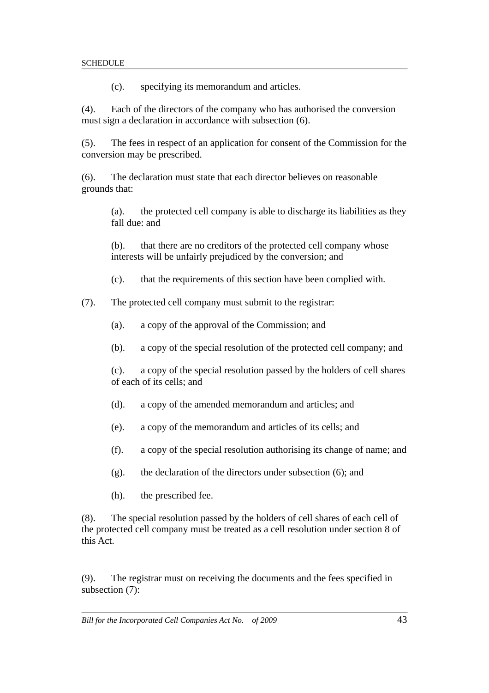(c). specifying its memorandum and articles.

(4). Each of the directors of the company who has authorised the conversion must sign a declaration in accordance with subsection (6).

(5). The fees in respect of an application for consent of the Commission for the conversion may be prescribed.

(6). The declaration must state that each director believes on reasonable grounds that:

(a). the protected cell company is able to discharge its liabilities as they fall due: and

(b). that there are no creditors of the protected cell company whose interests will be unfairly prejudiced by the conversion; and

(c). that the requirements of this section have been complied with.

(7). The protected cell company must submit to the registrar:

(a). a copy of the approval of the Commission; and

(b). a copy of the special resolution of the protected cell company; and

(c). a copy of the special resolution passed by the holders of cell shares of each of its cells; and

- (d). a copy of the amended memorandum and articles; and
- (e). a copy of the memorandum and articles of its cells; and
- (f). a copy of the special resolution authorising its change of name; and
- $(g)$ . the declaration of the directors under subsection  $(6)$ ; and
- (h). the prescribed fee.

(8). The special resolution passed by the holders of cell shares of each cell of the protected cell company must be treated as a cell resolution under section 8 of this Act.

(9). The registrar must on receiving the documents and the fees specified in subsection (7):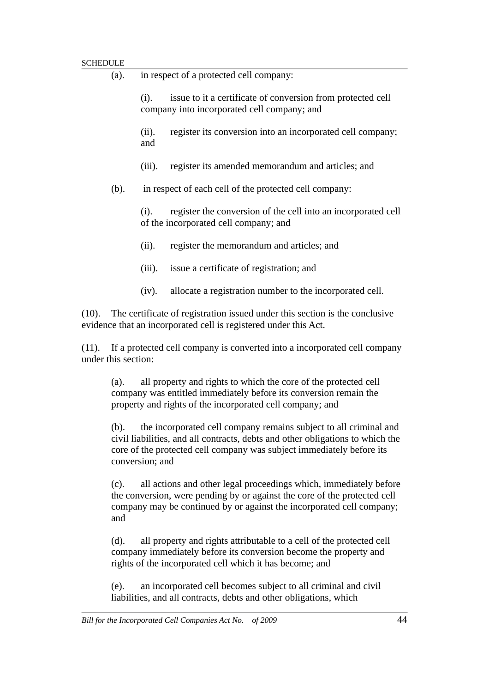| SCHEDULE                                                                                                  |                                                                                                                                                                                                           |                                                                                                                |                                                                                                            |  |  |  |
|-----------------------------------------------------------------------------------------------------------|-----------------------------------------------------------------------------------------------------------------------------------------------------------------------------------------------------------|----------------------------------------------------------------------------------------------------------------|------------------------------------------------------------------------------------------------------------|--|--|--|
|                                                                                                           | (a).                                                                                                                                                                                                      | in respect of a protected cell company:                                                                        |                                                                                                            |  |  |  |
|                                                                                                           |                                                                                                                                                                                                           | (i).                                                                                                           | issue to it a certificate of conversion from protected cell<br>company into incorporated cell company; and |  |  |  |
|                                                                                                           |                                                                                                                                                                                                           | (ii).<br>and                                                                                                   | register its conversion into an incorporated cell company;                                                 |  |  |  |
|                                                                                                           |                                                                                                                                                                                                           | $(iii)$ .                                                                                                      | register its amended memorandum and articles; and                                                          |  |  |  |
|                                                                                                           | (b).                                                                                                                                                                                                      | in respect of each cell of the protected cell company:                                                         |                                                                                                            |  |  |  |
|                                                                                                           |                                                                                                                                                                                                           | register the conversion of the cell into an incorporated cell<br>(i).<br>of the incorporated cell company; and |                                                                                                            |  |  |  |
|                                                                                                           |                                                                                                                                                                                                           | (ii).                                                                                                          | register the memorandum and articles; and                                                                  |  |  |  |
|                                                                                                           |                                                                                                                                                                                                           | $(iii)$ .                                                                                                      | issue a certificate of registration; and                                                                   |  |  |  |
|                                                                                                           |                                                                                                                                                                                                           | (iv).                                                                                                          | allocate a registration number to the incorporated cell.                                                   |  |  |  |
| (10).                                                                                                     | The certificate of registration issued under this section is the conclusive<br>evidence that an incorporated cell is registered under this Act.                                                           |                                                                                                                |                                                                                                            |  |  |  |
| If a protected cell company is converted into a incorporated cell company<br>(11).<br>under this section: |                                                                                                                                                                                                           |                                                                                                                |                                                                                                            |  |  |  |
|                                                                                                           | all property and rights to which the core of the protected cell<br>(a).<br>company was entitled immediately before its conversion remain the<br>property and rights of the incorporated cell company; and |                                                                                                                |                                                                                                            |  |  |  |

(b). the incorporated cell company remains subject to all criminal and civil liabilities, and all contracts, debts and other obligations to which the core of the protected cell company was subject immediately before its conversion; and

(c). all actions and other legal proceedings which, immediately before the conversion, were pending by or against the core of the protected cell company may be continued by or against the incorporated cell company; and

(d). all property and rights attributable to a cell of the protected cell company immediately before its conversion become the property and rights of the incorporated cell which it has become; and

(e). an incorporated cell becomes subject to all criminal and civil liabilities, and all contracts, debts and other obligations, which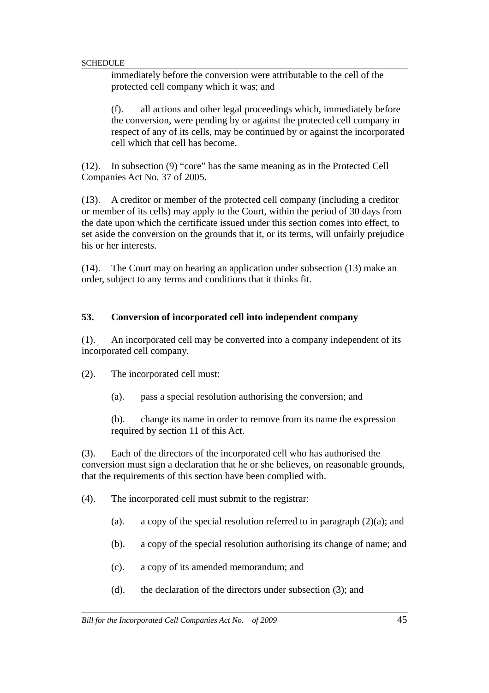immediately before the conversion were attributable to the cell of the protected cell company which it was; and

(f). all actions and other legal proceedings which, immediately before the conversion, were pending by or against the protected cell company in respect of any of its cells, may be continued by or against the incorporated cell which that cell has become.

(12). In subsection (9) "core" has the same meaning as in the Protected Cell Companies Act No. 37 of 2005.

(13). A creditor or member of the protected cell company (including a creditor or member of its cells) may apply to the Court, within the period of 30 days from the date upon which the certificate issued under this section comes into effect, to set aside the conversion on the grounds that it, or its terms, will unfairly prejudice his or her interests.

(14). The Court may on hearing an application under subsection (13) make an order, subject to any terms and conditions that it thinks fit.

#### **53. Conversion of incorporated cell into independent company**

(1). An incorporated cell may be converted into a company independent of its incorporated cell company.

(2). The incorporated cell must:

(a). pass a special resolution authorising the conversion; and

(b). change its name in order to remove from its name the expression required by section 11 of this Act.

(3). Each of the directors of the incorporated cell who has authorised the conversion must sign a declaration that he or she believes, on reasonable grounds, that the requirements of this section have been complied with.

(4). The incorporated cell must submit to the registrar:

- (a). a copy of the special resolution referred to in paragraph  $(2)(a)$ ; and
- (b). a copy of the special resolution authorising its change of name; and
- (c). a copy of its amended memorandum; and
- (d). the declaration of the directors under subsection (3); and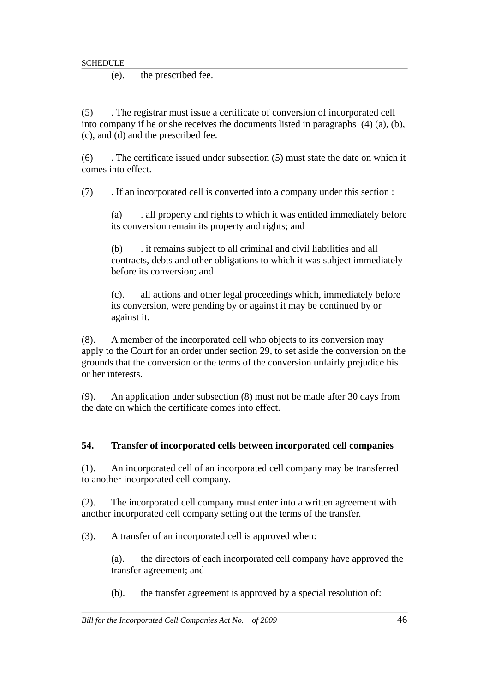(e). the prescribed fee.

(5) . The registrar must issue a certificate of conversion of incorporated cell into company if he or she receives the documents listed in paragraphs (4) (a), (b), (c), and (d) and the prescribed fee.

(6) . The certificate issued under subsection (5) must state the date on which it comes into effect.

(7) . If an incorporated cell is converted into a company under this section :

(a) . all property and rights to which it was entitled immediately before its conversion remain its property and rights; and

(b) . it remains subject to all criminal and civil liabilities and all contracts, debts and other obligations to which it was subject immediately before its conversion; and

(c). all actions and other legal proceedings which, immediately before its conversion, were pending by or against it may be continued by or against it.

(8). A member of the incorporated cell who objects to its conversion may apply to the Court for an order under section 29, to set aside the conversion on the grounds that the conversion or the terms of the conversion unfairly prejudice his or her interests.

(9). An application under subsection (8) must not be made after 30 days from the date on which the certificate comes into effect.

# **54. Transfer of incorporated cells between incorporated cell companies**

(1). An incorporated cell of an incorporated cell company may be transferred to another incorporated cell company.

(2). The incorporated cell company must enter into a written agreement with another incorporated cell company setting out the terms of the transfer.

(3). A transfer of an incorporated cell is approved when:

(a). the directors of each incorporated cell company have approved the transfer agreement; and

(b). the transfer agreement is approved by a special resolution of: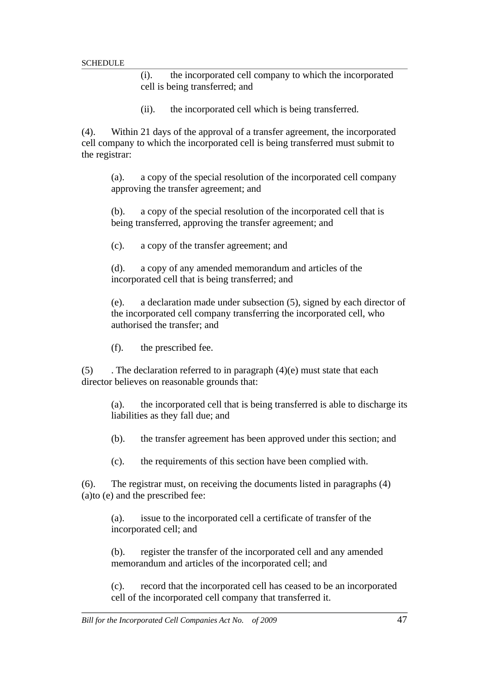(i). the incorporated cell company to which the incorporated cell is being transferred; and

(ii). the incorporated cell which is being transferred.

(4). Within 21 days of the approval of a transfer agreement, the incorporated cell company to which the incorporated cell is being transferred must submit to the registrar:

(a). a copy of the special resolution of the incorporated cell company approving the transfer agreement; and

(b). a copy of the special resolution of the incorporated cell that is being transferred, approving the transfer agreement; and

(c). a copy of the transfer agreement; and

(d). a copy of any amended memorandum and articles of the incorporated cell that is being transferred; and

(e). a declaration made under subsection (5), signed by each director of the incorporated cell company transferring the incorporated cell, who authorised the transfer; and

(f). the prescribed fee.

(5)  $\blacksquare$ . The declaration referred to in paragraph (4)(e) must state that each director believes on reasonable grounds that:

(a). the incorporated cell that is being transferred is able to discharge its liabilities as they fall due; and

(b). the transfer agreement has been approved under this section; and

(c). the requirements of this section have been complied with.

(6). The registrar must, on receiving the documents listed in paragraphs (4) (a)to (e) and the prescribed fee:

(a). issue to the incorporated cell a certificate of transfer of the incorporated cell; and

(b). register the transfer of the incorporated cell and any amended memorandum and articles of the incorporated cell; and

(c). record that the incorporated cell has ceased to be an incorporated cell of the incorporated cell company that transferred it.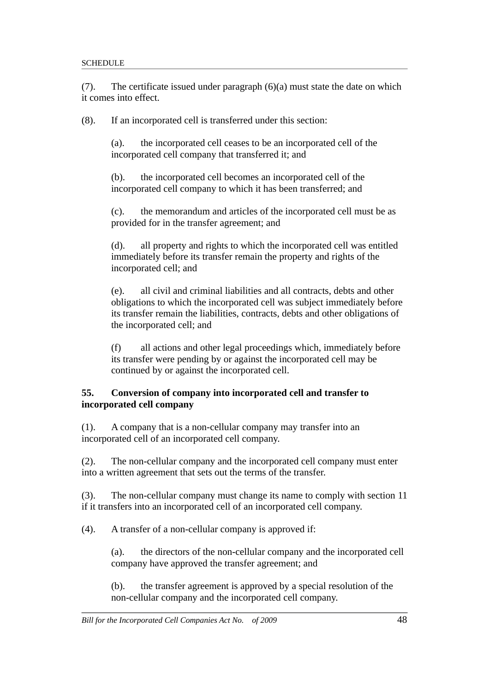(7). The certificate issued under paragraph (6)(a) must state the date on which it comes into effect.

(8). If an incorporated cell is transferred under this section:

(a). the incorporated cell ceases to be an incorporated cell of the incorporated cell company that transferred it; and

(b). the incorporated cell becomes an incorporated cell of the incorporated cell company to which it has been transferred; and

(c). the memorandum and articles of the incorporated cell must be as provided for in the transfer agreement; and

(d). all property and rights to which the incorporated cell was entitled immediately before its transfer remain the property and rights of the incorporated cell; and

(e). all civil and criminal liabilities and all contracts, debts and other obligations to which the incorporated cell was subject immediately before its transfer remain the liabilities, contracts, debts and other obligations of the incorporated cell; and

(f) all actions and other legal proceedings which, immediately before its transfer were pending by or against the incorporated cell may be continued by or against the incorporated cell.

### **55. Conversion of company into incorporated cell and transfer to incorporated cell company**

(1). A company that is a non-cellular company may transfer into an incorporated cell of an incorporated cell company.

(2). The non-cellular company and the incorporated cell company must enter into a written agreement that sets out the terms of the transfer.

(3). The non-cellular company must change its name to comply with section 11 if it transfers into an incorporated cell of an incorporated cell company.

(4). A transfer of a non-cellular company is approved if:

(a). the directors of the non-cellular company and the incorporated cell company have approved the transfer agreement; and

(b). the transfer agreement is approved by a special resolution of the non-cellular company and the incorporated cell company.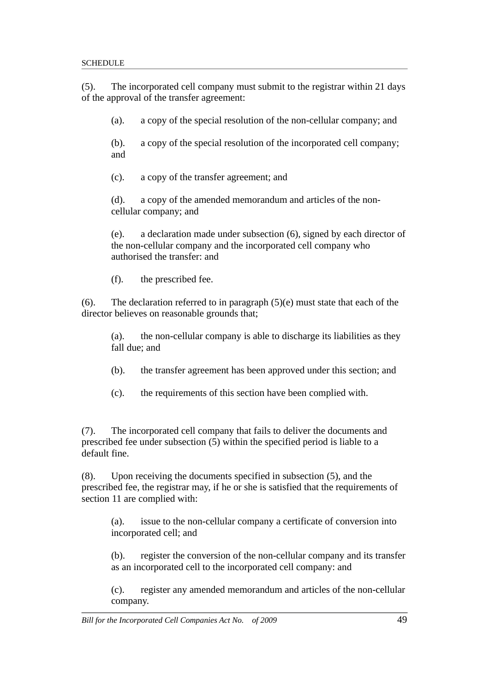(5). The incorporated cell company must submit to the registrar within 21 days of the approval of the transfer agreement:

(a). a copy of the special resolution of the non-cellular company; and

(b). a copy of the special resolution of the incorporated cell company; and

(c). a copy of the transfer agreement; and

(d). a copy of the amended memorandum and articles of the noncellular company; and

(e). a declaration made under subsection (6), signed by each director of the non-cellular company and the incorporated cell company who authorised the transfer: and

(f). the prescribed fee.

(6). The declaration referred to in paragraph  $(5)(e)$  must state that each of the director believes on reasonable grounds that;

(a). the non-cellular company is able to discharge its liabilities as they fall due; and

- (b). the transfer agreement has been approved under this section; and
- (c). the requirements of this section have been complied with.

(7). The incorporated cell company that fails to deliver the documents and prescribed fee under subsection (5) within the specified period is liable to a default fine.

(8). Upon receiving the documents specified in subsection (5), and the prescribed fee, the registrar may, if he or she is satisfied that the requirements of section 11 are complied with:

(a). issue to the non-cellular company a certificate of conversion into incorporated cell; and

(b). register the conversion of the non-cellular company and its transfer as an incorporated cell to the incorporated cell company: and

(c). register any amended memorandum and articles of the non-cellular company.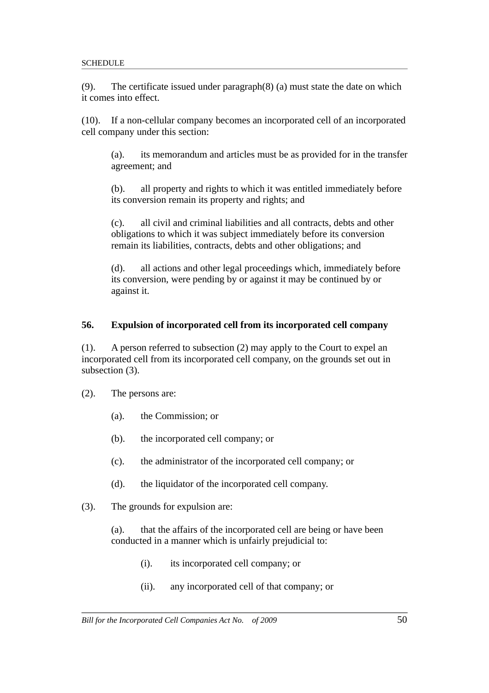(9). The certificate issued under paragraph(8) (a) must state the date on which it comes into effect.

(10). If a non-cellular company becomes an incorporated cell of an incorporated cell company under this section:

(a). its memorandum and articles must be as provided for in the transfer agreement; and

(b). all property and rights to which it was entitled immediately before its conversion remain its property and rights; and

(c). all civil and criminal liabilities and all contracts, debts and other obligations to which it was subject immediately before its conversion remain its liabilities, contracts, debts and other obligations; and

(d). all actions and other legal proceedings which, immediately before its conversion, were pending by or against it may be continued by or against it.

#### **56. Expulsion of incorporated cell from its incorporated cell company**

(1). A person referred to subsection (2) may apply to the Court to expel an incorporated cell from its incorporated cell company, on the grounds set out in subsection (3).

- (2). The persons are:
	- (a). the Commission; or
	- (b). the incorporated cell company; or
	- (c). the administrator of the incorporated cell company; or
	- (d). the liquidator of the incorporated cell company.
- (3). The grounds for expulsion are:

(a). that the affairs of the incorporated cell are being or have been conducted in a manner which is unfairly prejudicial to:

- (i). its incorporated cell company; or
- (ii). any incorporated cell of that company; or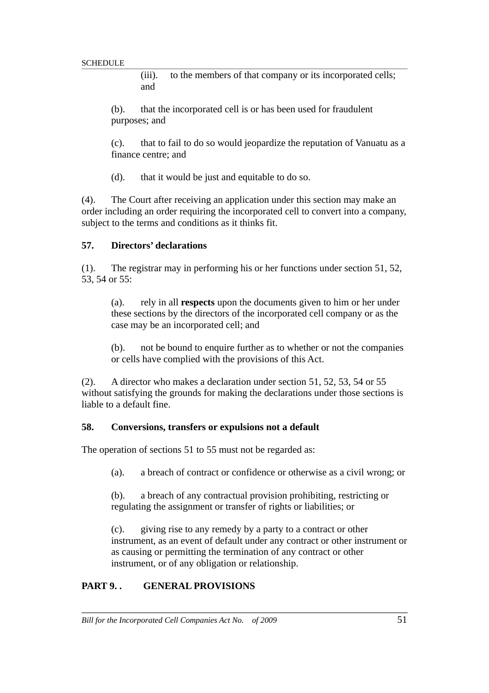(iii). to the members of that company or its incorporated cells; and

(b). that the incorporated cell is or has been used for fraudulent purposes; and

(c). that to fail to do so would jeopardize the reputation of Vanuatu as a finance centre; and

(d). that it would be just and equitable to do so.

(4). The Court after receiving an application under this section may make an order including an order requiring the incorporated cell to convert into a company, subject to the terms and conditions as it thinks fit.

#### **57. Directors' declarations**

(1). The registrar may in performing his or her functions under section 51, 52, 53, 54 or 55:

(a). rely in all **respects** upon the documents given to him or her under these sections by the directors of the incorporated cell company or as the case may be an incorporated cell; and

(b). not be bound to enquire further as to whether or not the companies or cells have complied with the provisions of this Act.

(2). A director who makes a declaration under section 51, 52, 53, 54 or 55 without satisfying the grounds for making the declarations under those sections is liable to a default fine.

#### **58. Conversions, transfers or expulsions not a default**

The operation of sections 51 to 55 must not be regarded as:

(a). a breach of contract or confidence or otherwise as a civil wrong; or

(b). a breach of any contractual provision prohibiting, restricting or regulating the assignment or transfer of rights or liabilities; or

(c). giving rise to any remedy by a party to a contract or other instrument, as an event of default under any contract or other instrument or as causing or permitting the termination of any contract or other instrument, or of any obligation or relationship.

### **PART 9. . GENERAL PROVISIONS**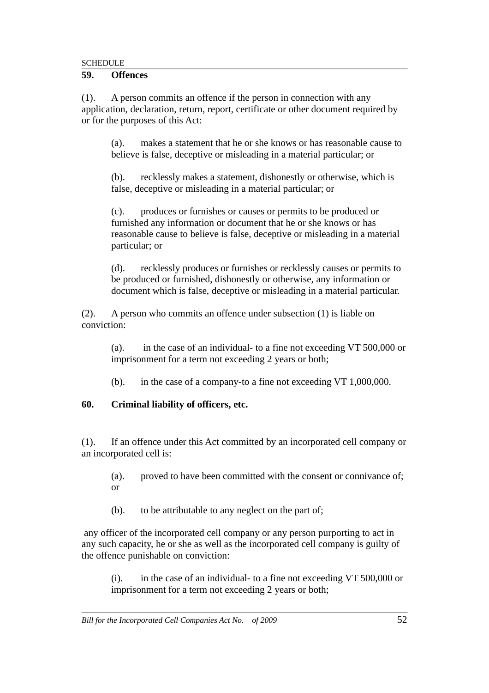#### **59. Offences**

(1). A person commits an offence if the person in connection with any application, declaration, return, report, certificate or other document required by or for the purposes of this Act:

(a). makes a statement that he or she knows or has reasonable cause to believe is false, deceptive or misleading in a material particular; or

(b). recklessly makes a statement, dishonestly or otherwise, which is false, deceptive or misleading in a material particular; or

(c). produces or furnishes or causes or permits to be produced or furnished any information or document that he or she knows or has reasonable cause to believe is false, deceptive or misleading in a material particular; or

(d). recklessly produces or furnishes or recklessly causes or permits to be produced or furnished, dishonestly or otherwise, any information or document which is false, deceptive or misleading in a material particular.

(2). A person who commits an offence under subsection (1) is liable on conviction:

(a). in the case of an individual- to a fine not exceeding VT 500,000 or imprisonment for a term not exceeding 2 years or both;

(b). in the case of a company-to a fine not exceeding VT 1,000,000.

### **60. Criminal liability of officers, etc.**

(1). If an offence under this Act committed by an incorporated cell company or an incorporated cell is:

(a). proved to have been committed with the consent or connivance of; or

(b). to be attributable to any neglect on the part of;

 any officer of the incorporated cell company or any person purporting to act in any such capacity, he or she as well as the incorporated cell company is guilty of the offence punishable on conviction:

(i). in the case of an individual- to a fine not exceeding VT 500,000 or imprisonment for a term not exceeding 2 years or both;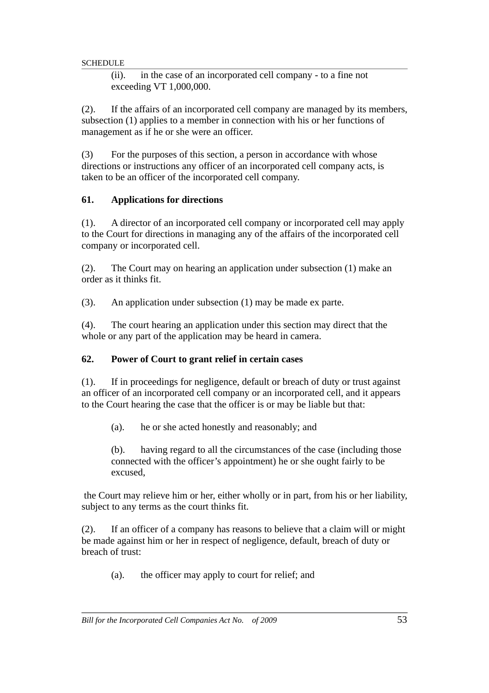(ii). in the case of an incorporated cell company - to a fine not exceeding VT 1,000,000.

(2). If the affairs of an incorporated cell company are managed by its members, subsection (1) applies to a member in connection with his or her functions of management as if he or she were an officer.

(3) For the purposes of this section, a person in accordance with whose directions or instructions any officer of an incorporated cell company acts, is taken to be an officer of the incorporated cell company.

# **61. Applications for directions**

(1). A director of an incorporated cell company or incorporated cell may apply to the Court for directions in managing any of the affairs of the incorporated cell company or incorporated cell.

(2). The Court may on hearing an application under subsection (1) make an order as it thinks fit.

(3). An application under subsection (1) may be made ex parte.

(4). The court hearing an application under this section may direct that the whole or any part of the application may be heard in camera.

# **62. Power of Court to grant relief in certain cases**

(1). If in proceedings for negligence, default or breach of duty or trust against an officer of an incorporated cell company or an incorporated cell, and it appears to the Court hearing the case that the officer is or may be liable but that:

(a). he or she acted honestly and reasonably; and

(b). having regard to all the circumstances of the case (including those connected with the officer's appointment) he or she ought fairly to be excused,

 the Court may relieve him or her, either wholly or in part, from his or her liability, subject to any terms as the court thinks fit.

(2). If an officer of a company has reasons to believe that a claim will or might be made against him or her in respect of negligence, default, breach of duty or breach of trust:

(a). the officer may apply to court for relief; and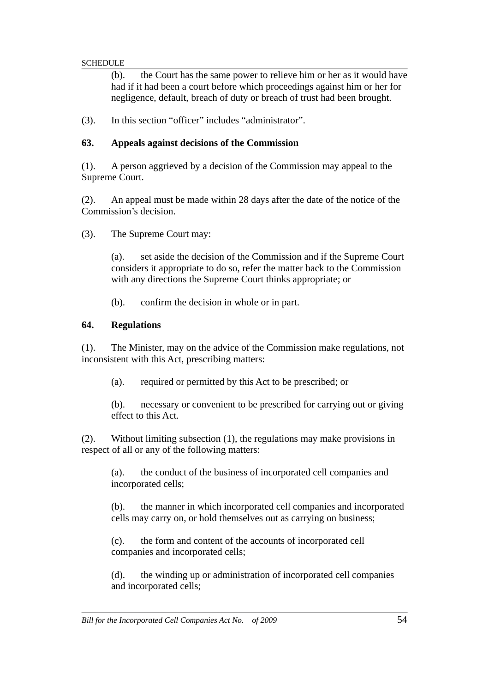(b). the Court has the same power to relieve him or her as it would have had if it had been a court before which proceedings against him or her for negligence, default, breach of duty or breach of trust had been brought.

(3). In this section "officer" includes "administrator".

### **63. Appeals against decisions of the Commission**

(1). A person aggrieved by a decision of the Commission may appeal to the Supreme Court.

(2). An appeal must be made within 28 days after the date of the notice of the Commission's decision.

(3). The Supreme Court may:

(a). set aside the decision of the Commission and if the Supreme Court considers it appropriate to do so, refer the matter back to the Commission with any directions the Supreme Court thinks appropriate; or

(b). confirm the decision in whole or in part.

## **64. Regulations**

(1). The Minister, may on the advice of the Commission make regulations, not inconsistent with this Act, prescribing matters:

(a). required or permitted by this Act to be prescribed; or

(b). necessary or convenient to be prescribed for carrying out or giving effect to this Act.

(2). Without limiting subsection (1), the regulations may make provisions in respect of all or any of the following matters:

(a). the conduct of the business of incorporated cell companies and incorporated cells;

(b). the manner in which incorporated cell companies and incorporated cells may carry on, or hold themselves out as carrying on business;

(c). the form and content of the accounts of incorporated cell companies and incorporated cells;

(d). the winding up or administration of incorporated cell companies and incorporated cells;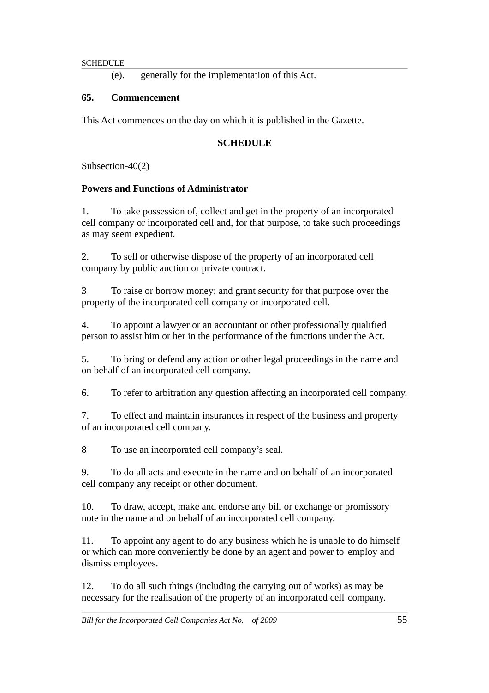(e). generally for the implementation of this Act.

## **65. Commencement**

This Act commences on the day on which it is published in the Gazette.

## **SCHEDULE**

Subsection-40(2)

## **Powers and Functions of Administrator**

1. To take possession of, collect and get in the property of an incorporated cell company or incorporated cell and, for that purpose, to take such proceedings as may seem expedient.

2. To sell or otherwise dispose of the property of an incorporated cell company by public auction or private contract.

3 To raise or borrow money; and grant security for that purpose over the property of the incorporated cell company or incorporated cell.

4. To appoint a lawyer or an accountant or other professionally qualified person to assist him or her in the performance of the functions under the Act.

5. To bring or defend any action or other legal proceedings in the name and on behalf of an incorporated cell company.

6. To refer to arbitration any question affecting an incorporated cell company.

7. To effect and maintain insurances in respect of the business and property of an incorporated cell company.

8 To use an incorporated cell company's seal.

9. To do all acts and execute in the name and on behalf of an incorporated cell company any receipt or other document.

10. To draw, accept, make and endorse any bill or exchange or promissory note in the name and on behalf of an incorporated cell company.

11. To appoint any agent to do any business which he is unable to do himself or which can more conveniently be done by an agent and power to employ and dismiss employees.

12. To do all such things (including the carrying out of works) as may be necessary for the realisation of the property of an incorporated cell company.